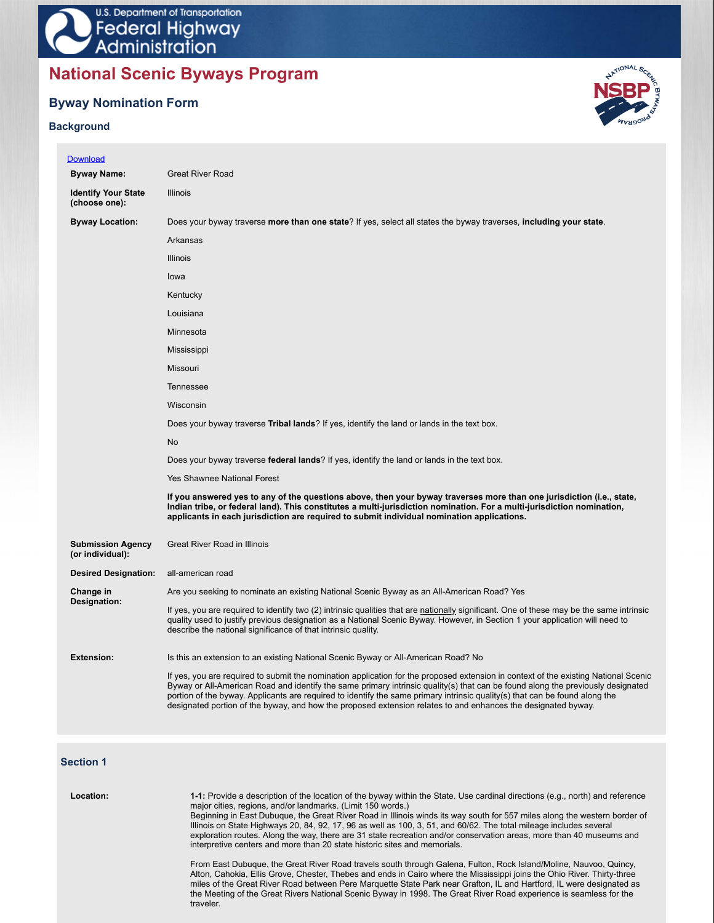# **National Scenic Byways Program**

## **Byway Nomination Form**

### **Background**

×



| <b>Great River Road</b>                                                                                                                                                                                                                                                                                                                       |
|-----------------------------------------------------------------------------------------------------------------------------------------------------------------------------------------------------------------------------------------------------------------------------------------------------------------------------------------------|
| <b>Illinois</b>                                                                                                                                                                                                                                                                                                                               |
| Does your byway traverse more than one state? If yes, select all states the byway traverses, including your state.                                                                                                                                                                                                                            |
| Arkansas                                                                                                                                                                                                                                                                                                                                      |
| <b>Illinois</b>                                                                                                                                                                                                                                                                                                                               |
| lowa                                                                                                                                                                                                                                                                                                                                          |
| Kentucky                                                                                                                                                                                                                                                                                                                                      |
| Louisiana                                                                                                                                                                                                                                                                                                                                     |
| Minnesota                                                                                                                                                                                                                                                                                                                                     |
| Mississippi                                                                                                                                                                                                                                                                                                                                   |
| Missouri                                                                                                                                                                                                                                                                                                                                      |
| Tennessee                                                                                                                                                                                                                                                                                                                                     |
| Wisconsin                                                                                                                                                                                                                                                                                                                                     |
| Does your byway traverse Tribal lands? If yes, identify the land or lands in the text box.                                                                                                                                                                                                                                                    |
| <b>No</b>                                                                                                                                                                                                                                                                                                                                     |
| Does your byway traverse federal lands? If yes, identify the land or lands in the text box.                                                                                                                                                                                                                                                   |
| <b>Yes Shawnee National Forest</b>                                                                                                                                                                                                                                                                                                            |
| If you answered yes to any of the questions above, then your byway traverses more than one jurisdiction (i.e., state,<br>Indian tribe, or federal land). This constitutes a multi-jurisdiction nomination. For a multi-jurisdiction nomination,<br>applicants in each jurisdiction are required to submit individual nomination applications. |
| <b>Great River Road in Illinois</b>                                                                                                                                                                                                                                                                                                           |
| all-american road                                                                                                                                                                                                                                                                                                                             |
| Are you seeking to nominate an existing National Scenic Byway as an All-American Road? Yes                                                                                                                                                                                                                                                    |
| If yes, you are required to identify two (2) intrinsic qualities that are nationally significant. One of these may be the same intrinsic<br>quality used to justify previous designation as a National Scenic Byway. However, in Section 1 your application will need to<br>describe the national significance of that intrinsic quality.     |
|                                                                                                                                                                                                                                                                                                                                               |
| Is this an extension to an existing National Scenic Byway or All-American Road? No                                                                                                                                                                                                                                                            |
|                                                                                                                                                                                                                                                                                                                                               |

### **Section 1**

traveler.

| Location: | 1-1: Provide a description of the location of the byway within the State. Use cardinal directions (e.g., north) and reference<br>major cities, regions, and/or landmarks. (Limit 150 words.)<br>Beginning in East Dubuque, the Great River Road in Illinois winds its way south for 557 miles along the western border of<br>Illinois on State Highways 20, 84, 92, 17, 96 as well as 100, 3, 51, and 60/62. The total mileage includes several<br>exploration routes. Along the way, there are 31 state recreation and/or conservation areas, more than 40 museums and<br>interpretive centers and more than 20 state historic sites and memorials. |
|-----------|------------------------------------------------------------------------------------------------------------------------------------------------------------------------------------------------------------------------------------------------------------------------------------------------------------------------------------------------------------------------------------------------------------------------------------------------------------------------------------------------------------------------------------------------------------------------------------------------------------------------------------------------------|
|           | From East Dubuque, the Great River Road travels south through Galena, Fulton, Rock Island/Moline, Nauvoo, Quincy,<br>Alton, Cahokia, Ellis Grove, Chester, Thebes and ends in Cairo where the Mississippi joins the Ohio River. Thirty-three<br>miles of the Great River Road between Pere Marquette State Park near Grafton, IL and Hartford, IL were designated as<br>the Meeting of the Great Rivers National Scenic Byway in 1998. The Great River Road experience is seamless for the                                                                                                                                                           |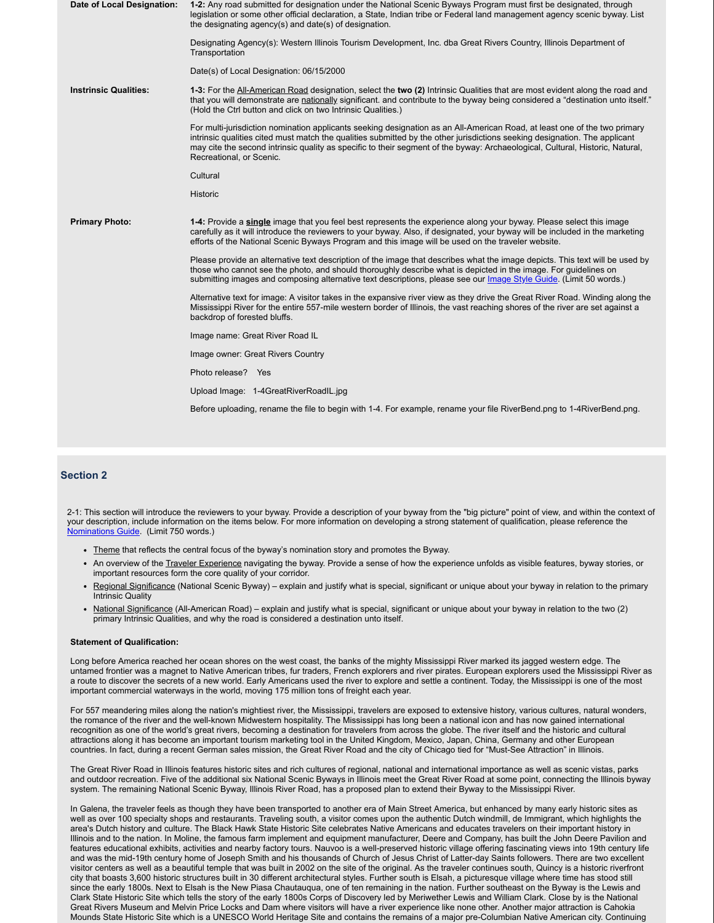| Date of Local Designation:   | 1-2: Any road submitted for designation under the National Scenic Byways Program must first be designated, through<br>legislation or some other official declaration, a State, Indian tribe or Federal land management agency scenic byway. List<br>the designating agency(s) and date(s) of designation.                                                                                                            |
|------------------------------|----------------------------------------------------------------------------------------------------------------------------------------------------------------------------------------------------------------------------------------------------------------------------------------------------------------------------------------------------------------------------------------------------------------------|
|                              | Designating Agency(s): Western Illinois Tourism Development, Inc. dba Great Rivers Country, Illinois Department of<br>Transportation                                                                                                                                                                                                                                                                                 |
|                              | Date(s) of Local Designation: 06/15/2000                                                                                                                                                                                                                                                                                                                                                                             |
| <b>Instrinsic Qualities:</b> | 1-3: For the All-American Road designation, select the two (2) Intrinsic Qualities that are most evident along the road and<br>that you will demonstrate are nationally significant. and contribute to the byway being considered a "destination unto itself."<br>(Hold the Ctrl button and click on two Intrinsic Qualities.)                                                                                       |
|                              | For multi-jurisdiction nomination applicants seeking designation as an All-American Road, at least one of the two primary<br>intrinsic qualities cited must match the qualities submitted by the other jurisdictions seeking designation. The applicant<br>may cite the second intrinsic quality as specific to their segment of the byway: Archaeological, Cultural, Historic, Natural,<br>Recreational, or Scenic. |
|                              | Cultural                                                                                                                                                                                                                                                                                                                                                                                                             |
|                              | <b>Historic</b>                                                                                                                                                                                                                                                                                                                                                                                                      |
| <b>Primary Photo:</b>        | 1-4: Provide a single image that you feel best represents the experience along your byway. Please select this image<br>carefully as it will introduce the reviewers to your byway. Also, if designated, your byway will be included in the marketing<br>efforts of the National Scenic Byways Program and this image will be used on the traveler website.                                                           |
|                              | Please provide an alternative text description of the image that describes what the image depicts. This text will be used by<br>those who cannot see the photo, and should thoroughly describe what is depicted in the image. For guidelines on<br>submitting images and composing alternative text descriptions, please see our <i>Image Style Guide</i> . (Limit 50 words.)                                        |
|                              | Alternative text for image: A visitor takes in the expansive river view as they drive the Great River Road. Winding along the<br>Mississippi River for the entire 557-mile western border of Illinois, the vast reaching shores of the river are set against a<br>backdrop of forested bluffs.                                                                                                                       |
|                              | Image name: Great River Road IL                                                                                                                                                                                                                                                                                                                                                                                      |
|                              | Image owner: Great Rivers Country                                                                                                                                                                                                                                                                                                                                                                                    |
|                              | Photo release? Yes                                                                                                                                                                                                                                                                                                                                                                                                   |
|                              | Upload Image: 1-4GreatRiverRoadIL.jpg                                                                                                                                                                                                                                                                                                                                                                                |
|                              | Before uploading, rename the file to begin with 1-4. For example, rename your file RiverBend.png to 1-4RiverBend.png.                                                                                                                                                                                                                                                                                                |
|                              |                                                                                                                                                                                                                                                                                                                                                                                                                      |
|                              |                                                                                                                                                                                                                                                                                                                                                                                                                      |

### **Section 2**

2-1: This section will introduce the reviewers to your byway. Provide a description of your byway from the "big picture" point of view, and within the context of your description, include information on the items below. For more information on developing a strong statement of qualification, please reference the Nominations Guide. (Limit 750 words.)

- Theme that reflects the central focus of the byway's nomination story and promotes the Byway.
- An overview of the Traveler Experience navigating the byway. Provide a sense of how the experience unfolds as visible features, byway stories, or important resources form the core quality of your corridor.
- Regional Significance (National Scenic Byway) explain and justify what is special, significant or unique about your byway in relation to the primary Intrinsic Quality
- National Significance (All-American Road) explain and justify what is special, significant or unique about your byway in relation to the two (2) primary Intrinsic Qualities, and why the road is considered a destination unto itself.

#### **Statement of Qualification:**

Long before America reached her ocean shores on the west coast, the banks of the mighty Mississippi River marked its jagged western edge. The untamed frontier was a magnet to Native American tribes, fur traders, French explorers and river pirates. European explorers used the Mississippi River as a route to discover the secrets of a new world. Early Americans used the river to explore and settle a continent. Today, the Mississippi is one of the most important commercial waterways in the world, moving 175 million tons of freight each year.

For 557 meandering miles along the nation's mightiest river, the Mississippi, travelers are exposed to extensive history, various cultures, natural wonders, the romance of the river and the well-known Midwestern hospitality. The Mississippi has long been a national icon and has now gained international recognition as one of the world's great rivers, becoming a destination for travelers from across the globe. The river itself and the historic and cultural attractions along it has become an important tourism marketing tool in the United Kingdom, Mexico, Japan, China, Germany and other European countries. In fact, during a recent German sales mission, the Great River Road and the city of Chicago tied for "Must-See Attraction" in Illinois.

The Great River Road in Illinois features historic sites and rich cultures of regional, national and international importance as well as scenic vistas, parks and outdoor recreation. Five of the additional six National Scenic Byways in Illinois meet the Great River Road at some point, connecting the Illinois byway system. The remaining National Scenic Byway, Illinois River Road, has a proposed plan to extend their Byway to the Mississippi River.

In Galena, the traveler feels as though they have been transported to another era of Main Street America, but enhanced by many early historic sites as well as over 100 specialty shops and restaurants. Traveling south, a visitor comes upon the authentic Dutch windmill, de Immigrant, which highlights the area's Dutch history and culture. The Black Hawk State Historic Site celebrates Native Americans and educates travelers on their important history in Illinois and to the nation. In Moline, the famous farm implement and equipment manufacturer, Deere and Company, has built the John Deere Pavilion and features educational exhibits, activities and nearby factory tours. Nauvoo is a well-preserved historic village offering fascinating views into 19th century life and was the mid-19th century home of Joseph Smith and his thousands of Church of Jesus Christ of Latter-day Saints followers. There are two excellent visitor centers as well as a beautiful temple that was built in 2002 on the site of the original. As the traveler continues south, Quincy is a historic riverfront city that boasts 3,600 historic structures built in 30 different architectural styles. Further south is Elsah, a picturesque village where time has stood still since the early 1800s. Next to Elsah is the New Piasa Chautauqua, one of ten remaining in the nation. Further southeast on the Byway is the Lewis and Clark State Historic Site which tells the story of the early 1800s Corps of Discovery led by Meriwether Lewis and William Clark. Close by is the National Great Rivers Museum and Melvin Price Locks and Dam where visitors will have a river experience like none other. Another major attraction is Cahokia Mounds State Historic Site which is a UNESCO World Heritage Site and contains the remains of a major pre-Columbian Native American city. Continuing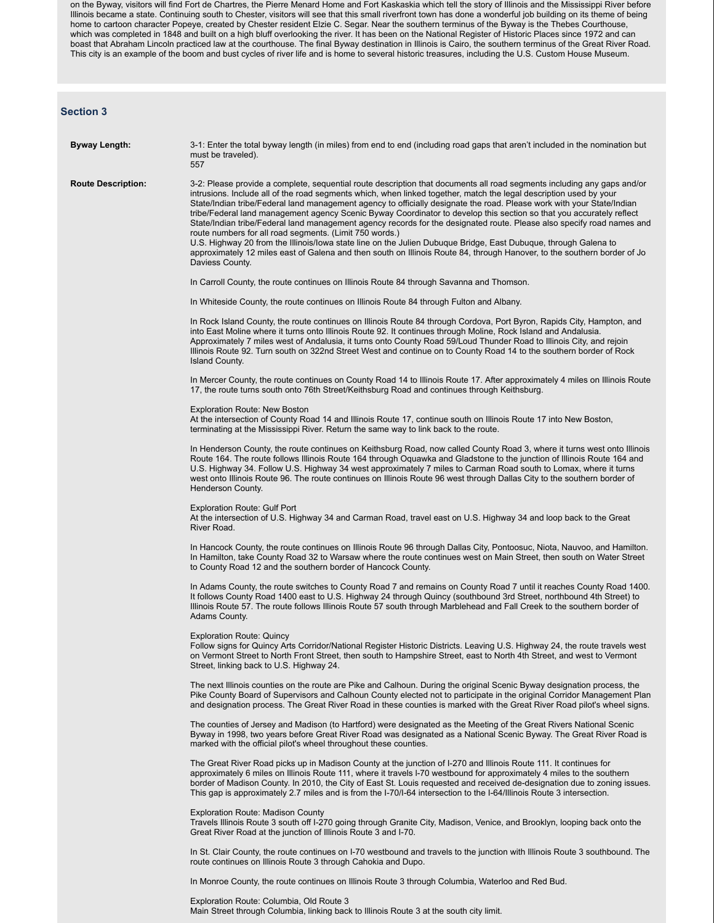on the Byway, visitors will find Fort de Chartres, the Pierre Menard Home and Fort Kaskaskia which tell the story of Illinois and the Mississippi River before Illinois became a state. Continuing south to Chester, visitors will see that this small riverfront town has done a wonderful job building on its theme of being home to cartoon character Popeye, created by Chester resident Elzie C. Segar. Near the southern terminus of the Byway is the Thebes Courthouse, which was completed in 1848 and built on a high bluff overlooking the river. It has been on the National Register of Historic Places since 1972 and can boast that Abraham Lincoln practiced law at the courthouse. The final Byway destination in Illinois is Cairo, the southern terminus of the Great River Road. This city is an example of the boom and bust cycles of river life and is home to several historic treasures, including the U.S. Custom House Museum.

### **Section 3**

| <b>Byway Length:</b>      | 3-1: Enter the total byway length (in miles) from end to end (including road gaps that aren't included in the nomination but<br>must be traveled).<br>557                                                                                                                                                                                                                                                                                                                                                                                                                                                                                                                                                                                                                                                                                                                                                                                              |
|---------------------------|--------------------------------------------------------------------------------------------------------------------------------------------------------------------------------------------------------------------------------------------------------------------------------------------------------------------------------------------------------------------------------------------------------------------------------------------------------------------------------------------------------------------------------------------------------------------------------------------------------------------------------------------------------------------------------------------------------------------------------------------------------------------------------------------------------------------------------------------------------------------------------------------------------------------------------------------------------|
| <b>Route Description:</b> | 3-2: Please provide a complete, sequential route description that documents all road segments including any gaps and/or<br>intrusions. Include all of the road segments which, when linked together, match the legal description used by your<br>State/Indian tribe/Federal land management agency to officially designate the road. Please work with your State/Indian<br>tribe/Federal land management agency Scenic Byway Coordinator to develop this section so that you accurately reflect<br>State/Indian tribe/Federal land management agency records for the designated route. Please also specify road names and<br>route numbers for all road segments. (Limit 750 words.)<br>U.S. Highway 20 from the Illinois/Iowa state line on the Julien Dubuque Bridge, East Dubuque, through Galena to<br>approximately 12 miles east of Galena and then south on Illinois Route 84, through Hanover, to the southern border of Jo<br>Daviess County. |
|                           | In Carroll County, the route continues on Illinois Route 84 through Savanna and Thomson.                                                                                                                                                                                                                                                                                                                                                                                                                                                                                                                                                                                                                                                                                                                                                                                                                                                               |
|                           | In Whiteside County, the route continues on Illinois Route 84 through Fulton and Albany.                                                                                                                                                                                                                                                                                                                                                                                                                                                                                                                                                                                                                                                                                                                                                                                                                                                               |
|                           | In Rock Island County, the route continues on Illinois Route 84 through Cordova, Port Byron, Rapids City, Hampton, and<br>into East Moline where it turns onto Illinois Route 92. It continues through Moline, Rock Island and Andalusia.<br>Approximately 7 miles west of Andalusia, it turns onto County Road 59/Loud Thunder Road to Illinois City, and rejoin<br>Illinois Route 92. Turn south on 322nd Street West and continue on to County Road 14 to the southern border of Rock<br><b>Island County.</b>                                                                                                                                                                                                                                                                                                                                                                                                                                      |
|                           | In Mercer County, the route continues on County Road 14 to Illinois Route 17. After approximately 4 miles on Illinois Route<br>17, the route turns south onto 76th Street/Keithsburg Road and continues through Keithsburg.                                                                                                                                                                                                                                                                                                                                                                                                                                                                                                                                                                                                                                                                                                                            |
|                           | <b>Exploration Route: New Boston</b><br>At the intersection of County Road 14 and Illinois Route 17, continue south on Illinois Route 17 into New Boston,<br>terminating at the Mississippi River. Return the same way to link back to the route.                                                                                                                                                                                                                                                                                                                                                                                                                                                                                                                                                                                                                                                                                                      |
|                           | In Henderson County, the route continues on Keithsburg Road, now called County Road 3, where it turns west onto Illinois<br>Route 164. The route follows Illinois Route 164 through Oguawka and Gladstone to the junction of Illinois Route 164 and<br>U.S. Highway 34. Follow U.S. Highway 34 west approximately 7 miles to Carman Road south to Lomax, where it turns<br>west onto Illinois Route 96. The route continues on Illinois Route 96 west through Dallas City to the southern border of<br>Henderson County.                                                                                                                                                                                                                                                                                                                                                                                                                               |
|                           | <b>Exploration Route: Gulf Port</b><br>At the intersection of U.S. Highway 34 and Carman Road, travel east on U.S. Highway 34 and loop back to the Great<br>River Road.                                                                                                                                                                                                                                                                                                                                                                                                                                                                                                                                                                                                                                                                                                                                                                                |
|                           | In Hancock County, the route continues on Illinois Route 96 through Dallas City, Pontoosuc, Niota, Nauvoo, and Hamilton.<br>In Hamilton, take County Road 32 to Warsaw where the route continues west on Main Street, then south on Water Street<br>to County Road 12 and the southern border of Hancock County.                                                                                                                                                                                                                                                                                                                                                                                                                                                                                                                                                                                                                                       |
|                           | In Adams County, the route switches to County Road 7 and remains on County Road 7 until it reaches County Road 1400.<br>It follows County Road 1400 east to U.S. Highway 24 through Quincy (southbound 3rd Street, northbound 4th Street) to<br>Illinois Route 57. The route follows Illinois Route 57 south through Marblehead and Fall Creek to the southern border of<br>Adams County.                                                                                                                                                                                                                                                                                                                                                                                                                                                                                                                                                              |
|                           | <b>Exploration Route: Quincy</b><br>Follow signs for Quincy Arts Corridor/National Register Historic Districts. Leaving U.S. Highway 24, the route travels west<br>on Vermont Street to North Front Street, then south to Hampshire Street, east to North 4th Street, and west to Vermont<br>Street, linking back to U.S. Highway 24.                                                                                                                                                                                                                                                                                                                                                                                                                                                                                                                                                                                                                  |
|                           | The next Illinois counties on the route are Pike and Calhoun. During the original Scenic Byway designation process, the<br>Pike County Board of Supervisors and Calhoun County elected not to participate in the original Corridor Management Plan<br>and designation process. The Great River Road in these counties is marked with the Great River Road pilot's wheel signs.                                                                                                                                                                                                                                                                                                                                                                                                                                                                                                                                                                         |
|                           | The counties of Jersey and Madison (to Hartford) were designated as the Meeting of the Great Rivers National Scenic<br>Byway in 1998, two years before Great River Road was designated as a National Scenic Byway. The Great River Road is<br>marked with the official pilot's wheel throughout these counties.                                                                                                                                                                                                                                                                                                                                                                                                                                                                                                                                                                                                                                        |
|                           | The Great River Road picks up in Madison County at the junction of I-270 and Illinois Route 111. It continues for<br>approximately 6 miles on Illinois Route 111, where it travels I-70 westbound for approximately 4 miles to the southern<br>border of Madison County. In 2010, the City of East St. Louis requested and received de-designation due to zoning issues.<br>This gap is approximately 2.7 miles and is from the I-70/I-64 intersection to the I-64/Illinois Route 3 intersection.                                                                                                                                                                                                                                                                                                                                                                                                                                                      |
|                           | <b>Exploration Route: Madison County</b><br>Travels Illinois Route 3 south off I-270 going through Granite City, Madison, Venice, and Brooklyn, looping back onto the<br>Great River Road at the junction of Illinois Route 3 and I-70.                                                                                                                                                                                                                                                                                                                                                                                                                                                                                                                                                                                                                                                                                                                |
|                           | In St. Clair County, the route continues on I-70 westbound and travels to the junction with Illinois Route 3 southbound. The<br>route continues on Illinois Route 3 through Cahokia and Dupo.                                                                                                                                                                                                                                                                                                                                                                                                                                                                                                                                                                                                                                                                                                                                                          |

In Monroe County, the route continues on Illinois Route 3 through Columbia, Waterloo and Red Bud.

Exploration Route: Columbia, Old Route 3 Main Street through Columbia, linking back to Illinois Route 3 at the south city limit.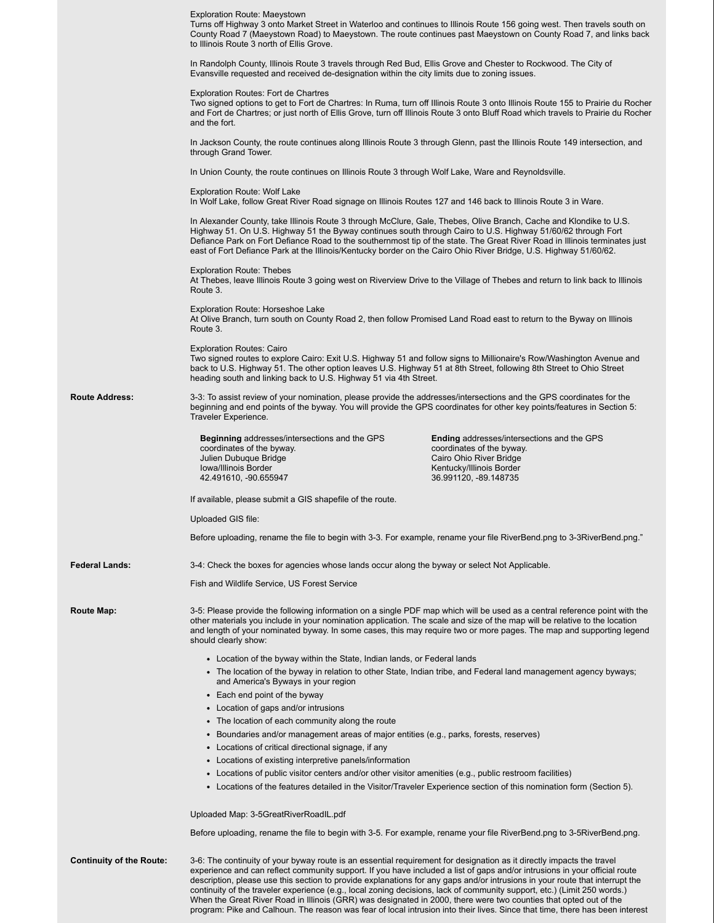|                                 | <b>Exploration Route: Maeystown</b><br>Turns off Highway 3 onto Market Street in Waterloo and continues to Illinois Route 156 going west. Then travels south on<br>County Road 7 (Maeystown Road) to Maeystown. The route continues past Maeystown on County Road 7, and links back<br>to Illinois Route 3 north of Ellis Grove.                                                                                                                                                                                |                                                                                                                                                         |  |  |  |
|---------------------------------|-----------------------------------------------------------------------------------------------------------------------------------------------------------------------------------------------------------------------------------------------------------------------------------------------------------------------------------------------------------------------------------------------------------------------------------------------------------------------------------------------------------------|---------------------------------------------------------------------------------------------------------------------------------------------------------|--|--|--|
|                                 | In Randolph County, Illinois Route 3 travels through Red Bud, Ellis Grove and Chester to Rockwood. The City of<br>Evansville requested and received de-designation within the city limits due to zoning issues.                                                                                                                                                                                                                                                                                                 |                                                                                                                                                         |  |  |  |
|                                 | <b>Exploration Routes: Fort de Chartres</b><br>Two signed options to get to Fort de Chartres: In Ruma, turn off Illinois Route 3 onto Illinois Route 155 to Prairie du Rocher<br>and Fort de Chartres; or just north of Ellis Grove, turn off Illinois Route 3 onto Bluff Road which travels to Prairie du Rocher<br>and the fort.                                                                                                                                                                              |                                                                                                                                                         |  |  |  |
|                                 | In Jackson County, the route continues along Illinois Route 3 through Glenn, past the Illinois Route 149 intersection, and<br>through Grand Tower.                                                                                                                                                                                                                                                                                                                                                              |                                                                                                                                                         |  |  |  |
|                                 | In Union County, the route continues on Illinois Route 3 through Wolf Lake, Ware and Reynoldsville.                                                                                                                                                                                                                                                                                                                                                                                                             |                                                                                                                                                         |  |  |  |
|                                 | <b>Exploration Route: Wolf Lake</b><br>In Wolf Lake, follow Great River Road signage on Illinois Routes 127 and 146 back to Illinois Route 3 in Ware.                                                                                                                                                                                                                                                                                                                                                           |                                                                                                                                                         |  |  |  |
|                                 | In Alexander County, take Illinois Route 3 through McClure, Gale, Thebes, Olive Branch, Cache and Klondike to U.S.<br>Highway 51. On U.S. Highway 51 the Byway continues south through Cairo to U.S. Highway 51/60/62 through Fort<br>Defiance Park on Fort Defiance Road to the southernmost tip of the state. The Great River Road in Illinois terminates just<br>east of Fort Defiance Park at the Illinois/Kentucky border on the Cairo Ohio River Bridge, U.S. Highway 51/60/62.                           |                                                                                                                                                         |  |  |  |
|                                 | <b>Exploration Route: Thebes</b><br>At Thebes, leave Illinois Route 3 going west on Riverview Drive to the Village of Thebes and return to link back to Illinois<br>Route 3.                                                                                                                                                                                                                                                                                                                                    |                                                                                                                                                         |  |  |  |
|                                 | Exploration Route: Horseshoe Lake<br>At Olive Branch, turn south on County Road 2, then follow Promised Land Road east to return to the Byway on Illinois<br>Route 3.                                                                                                                                                                                                                                                                                                                                           |                                                                                                                                                         |  |  |  |
|                                 | <b>Exploration Routes: Cairo</b><br>Two signed routes to explore Cairo: Exit U.S. Highway 51 and follow signs to Millionaire's Row/Washington Avenue and<br>back to U.S. Highway 51. The other option leaves U.S. Highway 51 at 8th Street, following 8th Street to Ohio Street<br>heading south and linking back to U.S. Highway 51 via 4th Street.                                                                                                                                                            |                                                                                                                                                         |  |  |  |
| <b>Route Address:</b>           | 3-3: To assist review of your nomination, please provide the addresses/intersections and the GPS coordinates for the<br>beginning and end points of the byway. You will provide the GPS coordinates for other key points/features in Section 5:<br>Traveler Experience.                                                                                                                                                                                                                                         |                                                                                                                                                         |  |  |  |
|                                 | <b>Beginning addresses/intersections and the GPS</b><br>coordinates of the byway.<br>Julien Dubuque Bridge<br>Iowa/Illinois Border<br>42.491610, -90.655947                                                                                                                                                                                                                                                                                                                                                     | Ending addresses/intersections and the GPS<br>coordinates of the byway.<br>Cairo Ohio River Bridge<br>Kentucky/Illinois Border<br>36.991120, -89.148735 |  |  |  |
|                                 | If available, please submit a GIS shapefile of the route.                                                                                                                                                                                                                                                                                                                                                                                                                                                       |                                                                                                                                                         |  |  |  |
|                                 | Uploaded GIS file:                                                                                                                                                                                                                                                                                                                                                                                                                                                                                              |                                                                                                                                                         |  |  |  |
|                                 | Before uploading, rename the file to begin with 3-3. For example, rename your file RiverBend.png to 3-3RiverBend.png."                                                                                                                                                                                                                                                                                                                                                                                          |                                                                                                                                                         |  |  |  |
| <b>Federal Lands:</b>           | 3-4: Check the boxes for agencies whose lands occur along the byway or select Not Applicable.                                                                                                                                                                                                                                                                                                                                                                                                                   |                                                                                                                                                         |  |  |  |
|                                 | Fish and Wildlife Service, US Forest Service                                                                                                                                                                                                                                                                                                                                                                                                                                                                    |                                                                                                                                                         |  |  |  |
| <b>Route Map:</b>               | 3-5: Please provide the following information on a single PDF map which will be used as a central reference point with the<br>other materials you include in your nomination application. The scale and size of the map will be relative to the location<br>and length of your nominated byway. In some cases, this may require two or more pages. The map and supporting legend<br>should clearly show:                                                                                                        |                                                                                                                                                         |  |  |  |
|                                 | • Location of the byway within the State, Indian lands, or Federal lands                                                                                                                                                                                                                                                                                                                                                                                                                                        |                                                                                                                                                         |  |  |  |
|                                 | • The location of the byway in relation to other State, Indian tribe, and Federal land management agency byways;<br>and America's Byways in your region                                                                                                                                                                                                                                                                                                                                                         |                                                                                                                                                         |  |  |  |
|                                 | • Each end point of the byway                                                                                                                                                                                                                                                                                                                                                                                                                                                                                   |                                                                                                                                                         |  |  |  |
|                                 | • Location of gaps and/or intrusions<br>• The location of each community along the route                                                                                                                                                                                                                                                                                                                                                                                                                        |                                                                                                                                                         |  |  |  |
|                                 | • Boundaries and/or management areas of major entities (e.g., parks, forests, reserves)                                                                                                                                                                                                                                                                                                                                                                                                                         |                                                                                                                                                         |  |  |  |
|                                 | • Locations of critical directional signage, if any                                                                                                                                                                                                                                                                                                                                                                                                                                                             |                                                                                                                                                         |  |  |  |
|                                 | • Locations of existing interpretive panels/information                                                                                                                                                                                                                                                                                                                                                                                                                                                         |                                                                                                                                                         |  |  |  |
|                                 | • Locations of public visitor centers and/or other visitor amenities (e.g., public restroom facilities)<br>• Locations of the features detailed in the Visitor/Traveler Experience section of this nomination form (Section 5).                                                                                                                                                                                                                                                                                 |                                                                                                                                                         |  |  |  |
|                                 | Uploaded Map: 3-5GreatRiverRoadIL.pdf                                                                                                                                                                                                                                                                                                                                                                                                                                                                           |                                                                                                                                                         |  |  |  |
|                                 | Before uploading, rename the file to begin with 3-5. For example, rename your file RiverBend.png to 3-5RiverBend.png.                                                                                                                                                                                                                                                                                                                                                                                           |                                                                                                                                                         |  |  |  |
| <b>Continuity of the Route:</b> | 3-6: The continuity of your byway route is an essential requirement for designation as it directly impacts the travel<br>experience and can reflect community support. If you have included a list of gaps and/or intrusions in your official route<br>description, please use this section to provide explanations for any gaps and/or intrusions in your route that interrupt the<br>continuity of the traveler experience (e.g., local zoning decisions, lack of community support, etc.) (Limit 250 words.) |                                                                                                                                                         |  |  |  |

When the Great River Road in Illinois (GRR) was designated in 2000, there were two counties that opted out of the program: Pike and Calhoun. The reason was fear of local intrusion into their lives. Since that time, there has been interest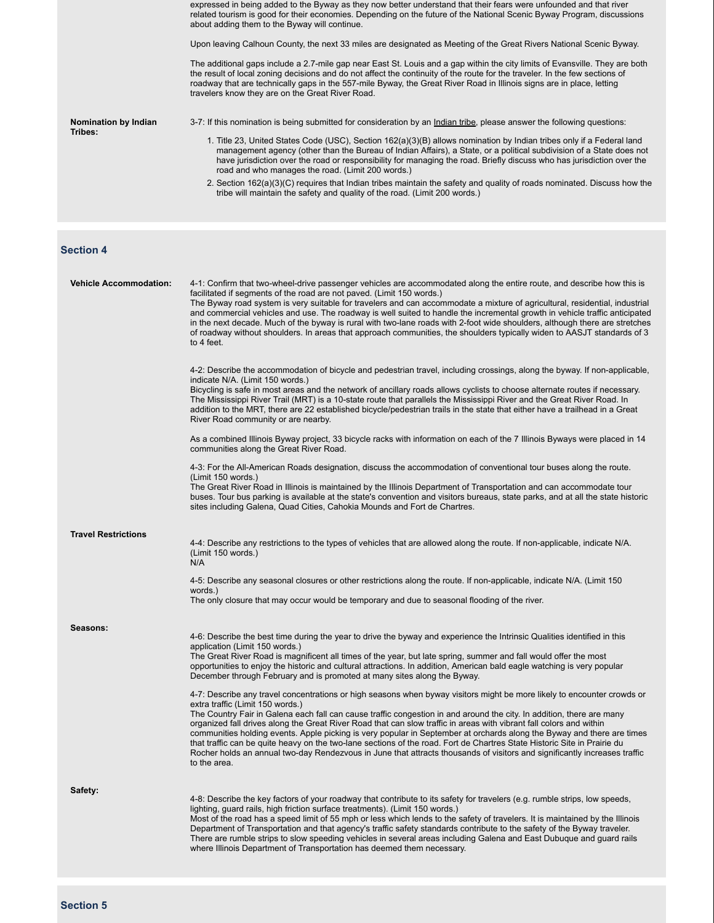|                      | expressed in being added to the Byway as they now better understand that their fears were unfounded and that river<br>related tourism is good for their economies. Depending on the future of the National Scenic Byway Program, discussions<br>about adding them to the Byway will continue.<br>Upon leaving Calhoun County, the next 33 miles are designated as Meeting of the Great Rivers National Scenic Byway.<br>The additional gaps include a 2.7-mile gap near East St. Louis and a gap within the city limits of Evansville. They are both                                                                                  |
|----------------------|---------------------------------------------------------------------------------------------------------------------------------------------------------------------------------------------------------------------------------------------------------------------------------------------------------------------------------------------------------------------------------------------------------------------------------------------------------------------------------------------------------------------------------------------------------------------------------------------------------------------------------------|
| Nomination by Indian | the result of local zoning decisions and do not affect the continuity of the route for the traveler. In the few sections of<br>roadway that are technically gaps in the 557-mile Byway, the Great River Road in Illinois signs are in place, letting<br>travelers know they are on the Great River Road.<br>3-7: If this nomination is being submitted for consideration by an Indian tribe, please answer the following questions:                                                                                                                                                                                                   |
| Tribes:              | 1. Title 23, United States Code (USC), Section 162(a)(3)(B) allows nomination by Indian tribes only if a Federal land<br>management agency (other than the Bureau of Indian Affairs), a State, or a political subdivision of a State does not<br>have jurisdiction over the road or responsibility for managing the road. Briefly discuss who has jurisdiction over the<br>road and who manages the road. (Limit 200 words.)<br>2. Section 162(a)(3)(C) requires that Indian tribes maintain the safety and quality of roads nominated. Discuss how the<br>tribe will maintain the safety and quality of the road. (Limit 200 words.) |

### **Section 4**

| <b>Vehicle Accommodation:</b> | 4-1: Confirm that two-wheel-drive passenger vehicles are accommodated along the entire route, and describe how this is<br>facilitated if segments of the road are not paved. (Limit 150 words.)<br>The Byway road system is very suitable for travelers and can accommodate a mixture of agricultural, residential, industrial<br>and commercial vehicles and use. The roadway is well suited to handle the incremental growth in vehicle traffic anticipated<br>in the next decade. Much of the byway is rural with two-lane roads with 2-foot wide shoulders, although there are stretches<br>of roadway without shoulders. In areas that approach communities, the shoulders typically widen to AASJT standards of 3<br>to 4 feet.                                                                                                                                                                                                                                                                                                                                                                                                                                                                                                                                                                   |
|-------------------------------|---------------------------------------------------------------------------------------------------------------------------------------------------------------------------------------------------------------------------------------------------------------------------------------------------------------------------------------------------------------------------------------------------------------------------------------------------------------------------------------------------------------------------------------------------------------------------------------------------------------------------------------------------------------------------------------------------------------------------------------------------------------------------------------------------------------------------------------------------------------------------------------------------------------------------------------------------------------------------------------------------------------------------------------------------------------------------------------------------------------------------------------------------------------------------------------------------------------------------------------------------------------------------------------------------------|
|                               | 4-2: Describe the accommodation of bicycle and pedestrian travel, including crossings, along the byway. If non-applicable,<br>indicate N/A. (Limit 150 words.)<br>Bicycling is safe in most areas and the network of ancillary roads allows cyclists to choose alternate routes if necessary.<br>The Mississippi River Trail (MRT) is a 10-state route that parallels the Mississippi River and the Great River Road. In<br>addition to the MRT, there are 22 established bicycle/pedestrian trails in the state that either have a trailhead in a Great<br>River Road community or are nearby.                                                                                                                                                                                                                                                                                                                                                                                                                                                                                                                                                                                                                                                                                                         |
|                               | As a combined Illinois Byway project, 33 bicycle racks with information on each of the 7 Illinois Byways were placed in 14<br>communities along the Great River Road.                                                                                                                                                                                                                                                                                                                                                                                                                                                                                                                                                                                                                                                                                                                                                                                                                                                                                                                                                                                                                                                                                                                                   |
|                               | 4-3: For the All-American Roads designation, discuss the accommodation of conventional tour buses along the route.<br>(Limit 150 words.)<br>The Great River Road in Illinois is maintained by the Illinois Department of Transportation and can accommodate tour<br>buses. Tour bus parking is available at the state's convention and visitors bureaus, state parks, and at all the state historic<br>sites including Galena, Quad Cities, Cahokia Mounds and Fort de Chartres.                                                                                                                                                                                                                                                                                                                                                                                                                                                                                                                                                                                                                                                                                                                                                                                                                        |
| <b>Travel Restrictions</b>    | 4-4: Describe any restrictions to the types of vehicles that are allowed along the route. If non-applicable, indicate N/A.<br>(Limit 150 words.)<br>N/A                                                                                                                                                                                                                                                                                                                                                                                                                                                                                                                                                                                                                                                                                                                                                                                                                                                                                                                                                                                                                                                                                                                                                 |
|                               | 4-5: Describe any seasonal closures or other restrictions along the route. If non-applicable, indicate N/A. (Limit 150<br>words.)<br>The only closure that may occur would be temporary and due to seasonal flooding of the river.                                                                                                                                                                                                                                                                                                                                                                                                                                                                                                                                                                                                                                                                                                                                                                                                                                                                                                                                                                                                                                                                      |
| Seasons:                      | 4-6: Describe the best time during the year to drive the byway and experience the Intrinsic Qualities identified in this<br>application (Limit 150 words.)<br>The Great River Road is magnificent all times of the year, but late spring, summer and fall would offer the most<br>opportunities to enjoy the historic and cultural attractions. In addition, American bald eagle watching is very popular<br>December through February and is promoted at many sites along the Byway.<br>4-7: Describe any travel concentrations or high seasons when byway visitors might be more likely to encounter crowds or<br>extra traffic (Limit 150 words.)<br>The Country Fair in Galena each fall can cause traffic congestion in and around the city. In addition, there are many<br>organized fall drives along the Great River Road that can slow traffic in areas with vibrant fall colors and within<br>communities holding events. Apple picking is very popular in September at orchards along the Byway and there are times<br>that traffic can be quite heavy on the two-lane sections of the road. Fort de Chartres State Historic Site in Prairie du<br>Rocher holds an annual two-day Rendezvous in June that attracts thousands of visitors and significantly increases traffic<br>to the area. |
| Safety:                       | 4-8: Describe the key factors of your roadway that contribute to its safety for travelers (e.g. rumble strips, low speeds,<br>lighting, guard rails, high friction surface treatments). (Limit 150 words.)<br>Most of the road has a speed limit of 55 mph or less which lends to the safety of travelers. It is maintained by the Illinois<br>Department of Transportation and that agency's traffic safety standards contribute to the safety of the Byway traveler.<br>There are rumble strips to slow speeding vehicles in several areas including Galena and East Dubuque and guard rails<br>where Illinois Department of Transportation has deemed them necessary.                                                                                                                                                                                                                                                                                                                                                                                                                                                                                                                                                                                                                                |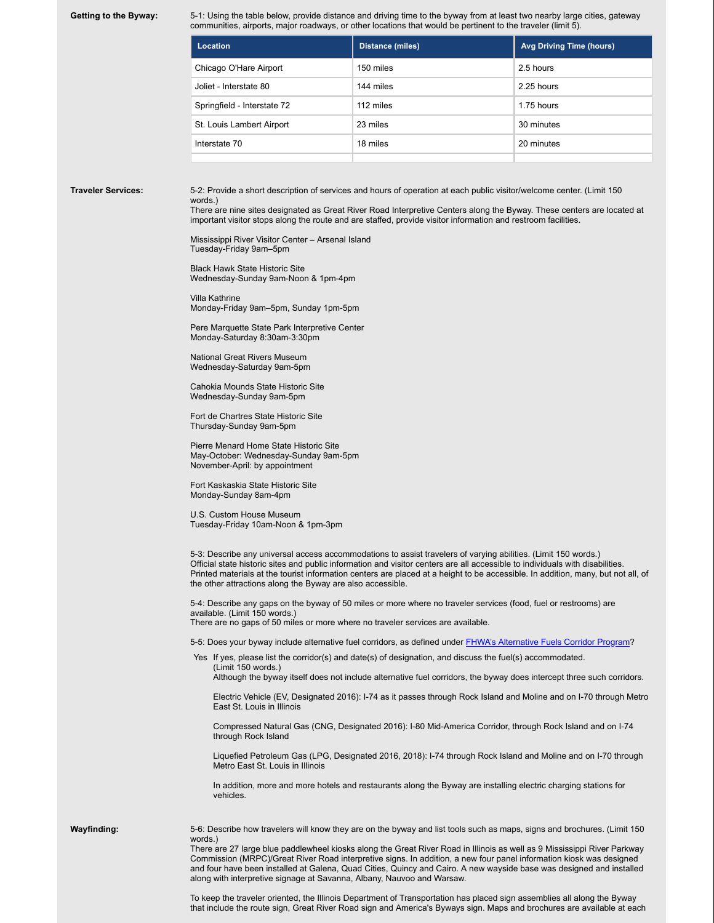Getting to the Byway: 5-1: Using the table below, provide distance and driving time to the byway from at least two nearby large cities, gateway communities, airports, major roadways, or other locations that would be pertinent to the traveler (limit 5).

| Location                    | <b>Distance (miles)</b> | <b>Avg Driving Time (hours)</b> |
|-----------------------------|-------------------------|---------------------------------|
| Chicago O'Hare Airport      | 150 miles               | 2.5 hours                       |
| Joliet - Interstate 80      | 144 miles               | 2.25 hours                      |
| Springfield - Interstate 72 | 112 miles               | 1.75 hours                      |
| St. Louis Lambert Airport   | 23 miles                | 30 minutes                      |
| Interstate 70               | 18 miles                | 20 minutes                      |
|                             |                         |                                 |

**Traveler Services:** 5-2: Provide a short description of services and hours of operation at each public visitor/welcome center. (Limit 150 words.)

There are nine sites designated as Great River Road Interpretive Centers along the Byway. These centers are located at important visitor stops along the route and are staffed, provide visitor information and restroom facilities.

Mississippi River Visitor Center – Arsenal Island Tuesday-Friday 9am–5pm

Black Hawk State Historic Site Wednesday-Sunday 9am-Noon & 1pm-4pm

Villa Kathrine Monday-Friday 9am–5pm, Sunday 1pm-5pm

Pere Marquette State Park Interpretive Center Monday-Saturday 8:30am-3:30pm

National Great Rivers Museum Wednesday-Saturday 9am-5pm

Cahokia Mounds State Historic Site Wednesday-Sunday 9am-5pm

Fort de Chartres State Historic Site Thursday-Sunday 9am-5pm

Pierre Menard Home State Historic Site May-October: Wednesday-Sunday 9am-5pm November-April: by appointment

Fort Kaskaskia State Historic Site Monday-Sunday 8am-4pm

U.S. Custom House Museum Tuesday-Friday 10am-Noon & 1pm-3pm

5-3: Describe any universal access accommodations to assist travelers of varying abilities. (Limit 150 words.) Official state historic sites and public information and visitor centers are all accessible to individuals with disabilities. Printed materials at the tourist information centers are placed at a height to be accessible. In addition, many, but not all, of the other attractions along the Byway are also accessible.

5-4: Describe any gaps on the byway of 50 miles or more where no traveler services (food, fuel or restrooms) are available. (Limit 150 words.)

There are no gaps of 50 miles or more where no traveler services are available.

5-5: Does your byway include alternative fuel corridors, as defined under FHWA's Alternative Fuels Corridor Program?

Yes If yes, please list the corridor(s) and date(s) of designation, and discuss the fuel(s) accommodated. (Limit 150 words.)

Although the byway itself does not include alternative fuel corridors, the byway does intercept three such corridors.

Electric Vehicle (EV, Designated 2016): I-74 as it passes through Rock Island and Moline and on I-70 through Metro East St. Louis in Illinois

Compressed Natural Gas (CNG, Designated 2016): I-80 Mid-America Corridor, through Rock Island and on I-74 through Rock Island

Liquefied Petroleum Gas (LPG, Designated 2016, 2018): I-74 through Rock Island and Moline and on I-70 through Metro East St. Louis in Illinois

In addition, more and more hotels and restaurants along the Byway are installing electric charging stations for vehicles.

**Wayfinding:** 5-6: Describe how travelers will know they are on the byway and list tools such as maps, signs and brochures. (Limit 150 words.)

There are 27 large blue paddlewheel kiosks along the Great River Road in Illinois as well as 9 Mississippi River Parkway Commission (MRPC)/Great River Road interpretive signs. In addition, a new four panel information kiosk was designed and four have been installed at Galena, Quad Cities, Quincy and Cairo. A new wayside base was designed and installed along with interpretive signage at Savanna, Albany, Nauvoo and Warsaw.

To keep the traveler oriented, the Illinois Department of Transportation has placed sign assemblies all along the Byway that include the route sign, Great River Road sign and America's Byways sign. Maps and brochures are available at each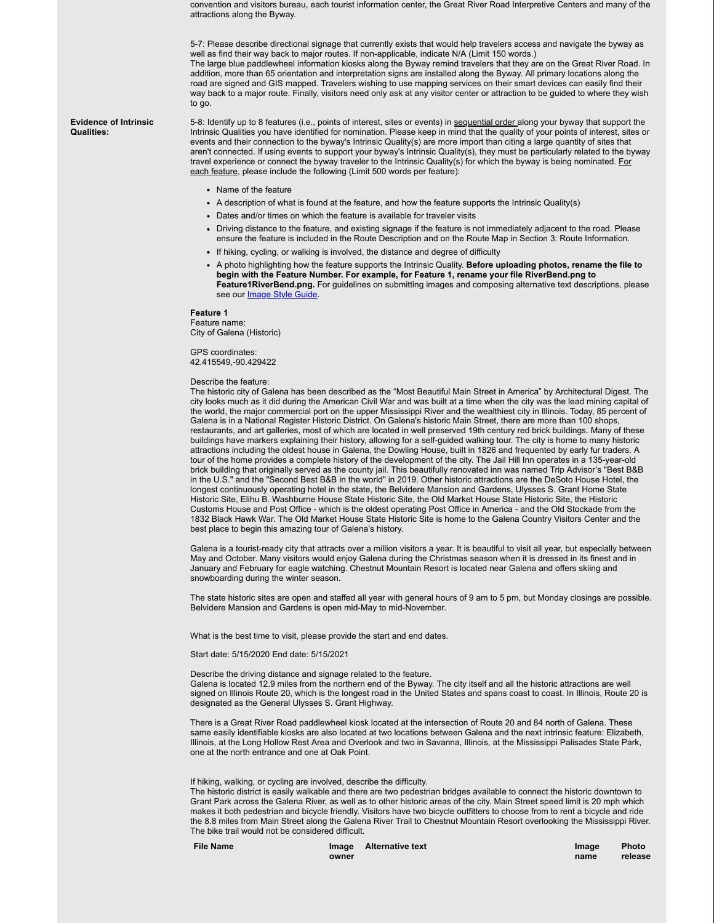convention and visitors bureau, each tourist information center, the Great River Road Interpretive Centers and many of the attractions along the Byway.

5-7: Please describe directional signage that currently exists that would help travelers access and navigate the byway as well as find their way back to major routes. If non-applicable, indicate N/A (Limit 150 words.) The large blue paddlewheel information kiosks along the Byway remind travelers that they are on the Great River Road. In addition, more than 65 orientation and interpretation signs are installed along the Byway. All primary locations along the road are signed and GIS mapped. Travelers wishing to use mapping services on their smart devices can easily find their way back to a major route. Finally, visitors need only ask at any visitor center or attraction to be guided to where they wish to go.

**Evidence of Intrinsic Qualities:**

5-8: Identify up to 8 features (i.e., points of interest, sites or events) in sequential order along your byway that support the Intrinsic Qualities you have identified for nomination. Please keep in mind that the quality of your points of interest, sites or events and their connection to the byway's Intrinsic Quality(s) are more import than citing a large quantity of sites that aren't connected. If using events to support your byway's Intrinsic Quality(s), they must be particularly related to the byway travel experience or connect the byway traveler to the Intrinsic Quality(s) for which the byway is being nominated. For each feature, please include the following (Limit 500 words per feature):

- Name of the feature
- A description of what is found at the feature, and how the feature supports the Intrinsic Quality(s)
- Dates and/or times on which the feature is available for traveler visits
- Driving distance to the feature, and existing signage if the feature is not immediately adjacent to the road. Please ensure the feature is included in the Route Description and on the Route Map in Section 3: Route Information.
- If hiking, cycling, or walking is involved, the distance and degree of difficulty
- A photo highlighting how the feature supports the Intrinsic Quality. **Before uploading photos, rename the file to begin with the Feature Number. For example, for Feature 1, rename your file RiverBend.png to Feature1RiverBend.png.** For guidelines on submitting images and composing alternative text descriptions, please see our **Image Style Guide**

#### **Feature 1**

Feature name: City of Galena (Historic)

GPS coordinates: 42.415549,-90.429422

#### Describe the feature:

The historic city of Galena has been described as the "Most Beautiful Main Street in America" by Architectural Digest. The city looks much as it did during the American Civil War and was built at a time when the city was the lead mining capital of the world, the major commercial port on the upper Mississippi River and the wealthiest city in Illinois. Today, 85 percent of Galena is in a National Register Historic District. On Galena's historic Main Street, there are more than 100 shops, restaurants, and art galleries, most of which are located in well preserved 19th century red brick buildings. Many of these buildings have markers explaining their history, allowing for a self-guided walking tour. The city is home to many historic attractions including the oldest house in Galena, the Dowling House, built in 1826 and frequented by early fur traders. A tour of the home provides a complete history of the development of the city. The Jail Hill Inn operates in a 135-year-old brick building that originally served as the county jail. This beautifully renovated inn was named Trip Advisor's "Best B&B in the U.S." and the "Second Best B&B in the world" in 2019. Other historic attractions are the DeSoto House Hotel, the longest continuously operating hotel in the state, the Belvidere Mansion and Gardens, Ulysses S. Grant Home State Historic Site, Elihu B. Washburne House State Historic Site, the Old Market House State Historic Site, the Historic Customs House and Post Office - which is the oldest operating Post Office in America - and the Old Stockade from the 1832 Black Hawk War. The Old Market House State Historic Site is home to the Galena Country Visitors Center and the best place to begin this amazing tour of Galena's history.

Galena is a tourist-ready city that attracts over a million visitors a year. It is beautiful to visit all year, but especially between May and October. Many visitors would enjoy Galena during the Christmas season when it is dressed in its finest and in January and February for eagle watching. Chestnut Mountain Resort is located near Galena and offers skiing and snowboarding during the winter season.

The state historic sites are open and staffed all year with general hours of 9 am to 5 pm, but Monday closings are possible. Belvidere Mansion and Gardens is open mid-May to mid-November.

What is the best time to visit, please provide the start and end dates.

Start date: 5/15/2020 End date: 5/15/2021

Describe the driving distance and signage related to the feature.

Galena is located 12.9 miles from the northern end of the Byway. The city itself and all the historic attractions are well signed on Illinois Route 20, which is the longest road in the United States and spans coast to coast. In Illinois, Route 20 is designated as the General Ulysses S. Grant Highway.

There is a Great River Road paddlewheel kiosk located at the intersection of Route 20 and 84 north of Galena. These same easily identifiable kiosks are also located at two locations between Galena and the next intrinsic feature: Elizabeth, Illinois, at the Long Hollow Rest Area and Overlook and two in Savanna, Illinois, at the Mississippi Palisades State Park, one at the north entrance and one at Oak Point.

If hiking, walking, or cycling are involved, describe the difficulty.

The historic district is easily walkable and there are two pedestrian bridges available to connect the historic downtown to Grant Park across the Galena River, as well as to other historic areas of the city. Main Street speed limit is 20 mph which makes it both pedestrian and bicycle friendly. Visitors have two bicycle outfitters to choose from to rent a bicycle and ride the 8.8 miles from Main Street along the Galena River Trail to Chestnut Mountain Resort overlooking the Mississippi River. The bike trail would not be considered difficult.

| <b>File Name</b> |       | Image Alternative text | Image | <b>Photo</b> |
|------------------|-------|------------------------|-------|--------------|
|                  | owner |                        | name  | release      |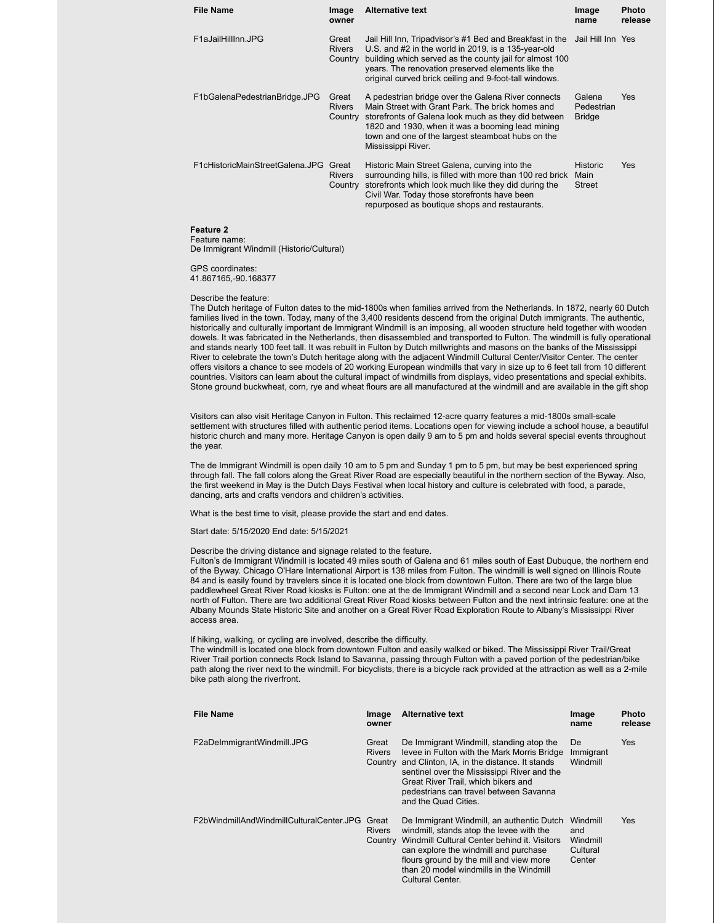| <b>File Name</b>                | Image<br>owner                    | <b>Alternative text</b>                                                                                                                                                                                                                                                                      | Image<br>name                            | <b>Photo</b><br>release |
|---------------------------------|-----------------------------------|----------------------------------------------------------------------------------------------------------------------------------------------------------------------------------------------------------------------------------------------------------------------------------------------|------------------------------------------|-------------------------|
| F1aJailHillInn.JPG              | Great<br><b>Rivers</b><br>Country | Jail Hill Inn, Tripadvisor's #1 Bed and Breakfast in the<br>U.S. and #2 in the world in 2019, is a 135-year-old<br>building which served as the county jail for almost 100<br>years. The renovation preserved elements like the<br>original curved brick ceiling and 9-foot-tall windows.    | Jail Hill Inn Yes                        |                         |
| F1bGalenaPedestrianBridge.JPG   | Great<br><b>Rivers</b><br>Country | A pedestrian bridge over the Galena River connects<br>Main Street with Grant Park. The brick homes and<br>storefronts of Galena look much as they did between<br>1820 and 1930, when it was a booming lead mining<br>town and one of the largest steamboat hubs on the<br>Mississippi River. | Galena<br>Pedestrian<br><b>Bridge</b>    | Yes                     |
| F1cHistoricMainStreetGalena.JPG | Great<br><b>Rivers</b><br>Country | Historic Main Street Galena, curving into the<br>surrounding hills, is filled with more than 100 red brick<br>storefronts which look much like they did during the<br>Civil War. Today those storefronts have been<br>repurposed as boutique shops and restaurants.                          | <b>Historic</b><br>Main<br><b>Street</b> | Yes                     |

### **Feature 2**

Feature name: De Immigrant Windmill (Historic/Cultural)

GPS coordinates: 41.867165,-90.168377

Describe the feature:

The Dutch heritage of Fulton dates to the mid-1800s when families arrived from the Netherlands. In 1872, nearly 60 Dutch families lived in the town. Today, many of the 3,400 residents descend from the original Dutch immigrants. The authentic, historically and culturally important de Immigrant Windmill is an imposing, all wooden structure held together with wooden dowels. It was fabricated in the Netherlands, then disassembled and transported to Fulton. The windmill is fully operational and stands nearly 100 feet tall. It was rebuilt in Fulton by Dutch millwrights and masons on the banks of the Mississippi River to celebrate the town's Dutch heritage along with the adjacent Windmill Cultural Center/Visitor Center. The center offers visitors a chance to see models of 20 working European windmills that vary in size up to 6 feet tall from 10 different countries. Visitors can learn about the cultural impact of windmills from displays, video presentations and special exhibits. Stone ground buckwheat, corn, rye and wheat flours are all manufactured at the windmill and are available in the gift shop

Visitors can also visit Heritage Canyon in Fulton. This reclaimed 12-acre quarry features a mid-1800s small-scale settlement with structures filled with authentic period items. Locations open for viewing include a school house, a beautiful historic church and many more. Heritage Canyon is open daily 9 am to 5 pm and holds several special events throughout the year.

The de Immigrant Windmill is open daily 10 am to 5 pm and Sunday 1 pm to 5 pm, but may be best experienced spring through fall. The fall colors along the Great River Road are especially beautiful in the northern section of the Byway. Also, the first weekend in May is the Dutch Days Festival when local history and culture is celebrated with food, a parade, dancing, arts and crafts vendors and children's activities.

What is the best time to visit, please provide the start and end dates.

Start date: 5/15/2020 End date: 5/15/2021

#### Describe the driving distance and signage related to the feature.

Fulton's de Immigrant Windmill is located 49 miles south of Galena and 61 miles south of East Dubuque, the northern end of the Byway. Chicago O'Hare International Airport is 138 miles from Fulton. The windmill is well signed on Illinois Route 84 and is easily found by travelers since it is located one block from downtown Fulton. There are two of the large blue paddlewheel Great River Road kiosks is Fulton: one at the de Immigrant Windmill and a second near Lock and Dam 13 north of Fulton. There are two additional Great River Road kiosks between Fulton and the next intrinsic feature: one at the Albany Mounds State Historic Site and another on a Great River Road Exploration Route to Albany's Mississippi River access area.

If hiking, walking, or cycling are involved, describe the difficulty.

The windmill is located one block from downtown Fulton and easily walked or biked. The Mississippi River Trail/Great River Trail portion connects Rock Island to Savanna, passing through Fulton with a paved portion of the pedestrian/bike path along the river next to the windmill. For bicyclists, there is a bicycle rack provided at the attraction as well as a 2-mile bike path along the riverfront.

| <b>File Name</b>                         | Image<br>owner         | <b>Alternative text</b>                                                                                                                                                                                                                                                                                 | Image<br>name                                     | <b>Photo</b><br>release |
|------------------------------------------|------------------------|---------------------------------------------------------------------------------------------------------------------------------------------------------------------------------------------------------------------------------------------------------------------------------------------------------|---------------------------------------------------|-------------------------|
| F2aDeImmigrantWindmill.JPG               | Great<br><b>Rivers</b> | De Immigrant Windmill, standing atop the<br>levee in Fulton with the Mark Morris Bridge<br>Country and Clinton, IA, in the distance. It stands<br>sentinel over the Mississippi River and the<br>Great River Trail, which bikers and<br>pedestrians can travel between Savanna<br>and the Quad Cities.  | De.<br>Immigrant<br>Windmill                      | Yes                     |
| F2bWindmillAndWindmillCulturalCenter.JPG | Great<br><b>Rivers</b> | De Immigrant Windmill, an authentic Dutch<br>windmill, stands atop the levee with the<br>Country Windmill Cultural Center behind it. Visitors<br>can explore the windmill and purchase<br>flours ground by the mill and view more<br>than 20 model windmills in the Windmill<br><b>Cultural Center.</b> | Windmill<br>and<br>Windmill<br>Cultural<br>Center | Yes                     |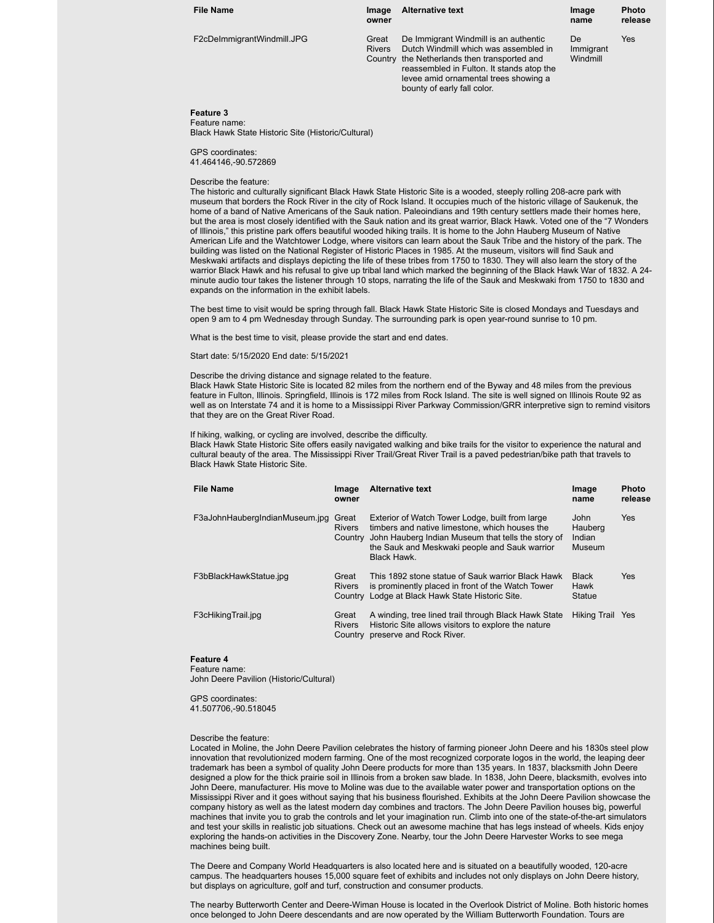| <b>File Name</b>           | Image<br>owner         | <b>Alternative text</b>                                                                                                                                                                                                                             | Image<br>name               | <b>Photo</b><br>release |
|----------------------------|------------------------|-----------------------------------------------------------------------------------------------------------------------------------------------------------------------------------------------------------------------------------------------------|-----------------------------|-------------------------|
| F2cDelmmigrantWindmill.JPG | Great<br><b>Rivers</b> | De Immigrant Windmill is an authentic<br>Dutch Windmill which was assembled in<br>Country the Netherlands then transported and<br>reassembled in Fulton. It stands atop the<br>levee amid ornamental trees showing a<br>bounty of early fall color. | De<br>Immigrant<br>Windmill | Yes                     |

#### **Feature 3** Feature name:

Black Hawk State Historic Site (Historic/Cultural)

GPS coordinates: 41.464146,-90.572869

#### Describe the feature:

The historic and culturally significant Black Hawk State Historic Site is a wooded, steeply rolling 208-acre park with museum that borders the Rock River in the city of Rock Island. It occupies much of the historic village of Saukenuk, the home of a band of Native Americans of the Sauk nation. Paleoindians and 19th century settlers made their homes here, but the area is most closely identified with the Sauk nation and its great warrior, Black Hawk. Voted one of the "7 Wonders of Illinois," this pristine park offers beautiful wooded hiking trails. It is home to the John Hauberg Museum of Native American Life and the Watchtower Lodge, where visitors can learn about the Sauk Tribe and the history of the park. The building was listed on the National Register of Historic Places in 1985. At the museum, visitors will find Sauk and Meskwaki artifacts and displays depicting the life of these tribes from 1750 to 1830. They will also learn the story of the warrior Black Hawk and his refusal to give up tribal land which marked the beginning of the Black Hawk War of 1832. A 24 minute audio tour takes the listener through 10 stops, narrating the life of the Sauk and Meskwaki from 1750 to 1830 and expands on the information in the exhibit labels.

The best time to visit would be spring through fall. Black Hawk State Historic Site is closed Mondays and Tuesdays and open 9 am to 4 pm Wednesday through Sunday. The surrounding park is open year-round sunrise to 10 pm.

What is the best time to visit, please provide the start and end dates.

Start date: 5/15/2020 End date: 5/15/2021

#### Describe the driving distance and signage related to the feature.

Black Hawk State Historic Site is located 82 miles from the northern end of the Byway and 48 miles from the previous feature in Fulton, Illinois. Springfield, Illinois is 172 miles from Rock Island. The site is well signed on Illinois Route 92 as well as on Interstate 74 and it is home to a Mississippi River Parkway Commission/GRR interpretive sign to remind visitors that they are on the Great River Road.

If hiking, walking, or cycling are involved, describe the difficulty.

Black Hawk State Historic Site offers easily navigated walking and bike trails for the visitor to experience the natural and cultural beauty of the area. The Mississippi River Trail/Great River Trail is a paved pedestrian/bike path that travels to Black Hawk State Historic Site.

| <b>File Name</b>               | Image<br>owner                    | <b>Alternative text</b>                                                                                                                                                                                                 | Image<br>name                       | <b>Photo</b><br>release |
|--------------------------------|-----------------------------------|-------------------------------------------------------------------------------------------------------------------------------------------------------------------------------------------------------------------------|-------------------------------------|-------------------------|
| F3aJohnHaubergIndianMuseum.jpg | Great<br><b>Rivers</b><br>Country | Exterior of Watch Tower Lodge, built from large<br>timbers and native limestone, which houses the<br>John Hauberg Indian Museum that tells the story of<br>the Sauk and Meskwaki people and Sauk warrior<br>Black Hawk. | John<br>Hauberg<br>Indian<br>Museum | <b>Yes</b>              |
| F3bBlackHawkStatue.jpg         | Great<br><b>Rivers</b>            | This 1892 stone statue of Sauk warrior Black Hawk<br>is prominently placed in front of the Watch Tower<br>Country Lodge at Black Hawk State Historic Site.                                                              | <b>Black</b><br>Hawk<br>Statue      | <b>Yes</b>              |
| F3cHikingTrail.jpg             | Great<br><b>Rivers</b><br>Country | A winding, tree lined trail through Black Hawk State<br>Historic Site allows visitors to explore the nature<br>preserve and Rock River.                                                                                 | Hiking Trail Yes                    |                         |

### **Feature 4**

Feature name: John Deere Pavilion (Historic/Cultural)

GPS coordinates: 41.507706,-90.518045

#### Describe the feature:

Located in Moline, the John Deere Pavilion celebrates the history of farming pioneer John Deere and his 1830s steel plow innovation that revolutionized modern farming. One of the most recognized corporate logos in the world, the leaping deer trademark has been a symbol of quality John Deere products for more than 135 years. In 1837, blacksmith John Deere designed a plow for the thick prairie soil in Illinois from a broken saw blade. In 1838, John Deere, blacksmith, evolves into John Deere, manufacturer. His move to Moline was due to the available water power and transportation options on the Mississippi River and it goes without saying that his business flourished. Exhibits at the John Deere Pavilion showcase the company history as well as the latest modern day combines and tractors. The John Deere Pavilion houses big, powerful machines that invite you to grab the controls and let your imagination run. Climb into one of the state-of-the-art simulators and test your skills in realistic job situations. Check out an awesome machine that has legs instead of wheels. Kids enjoy exploring the hands-on activities in the Discovery Zone. Nearby, tour the John Deere Harvester Works to see mega machines being built.

The Deere and Company World Headquarters is also located here and is situated on a beautifully wooded, 120-acre campus. The headquarters houses 15,000 square feet of exhibits and includes not only displays on John Deere history, but displays on agriculture, golf and turf, construction and consumer products.

The nearby Butterworth Center and Deere-Wiman House is located in the Overlook District of Moline. Both historic homes once belonged to John Deere descendants and are now operated by the William Butterworth Foundation. Tours are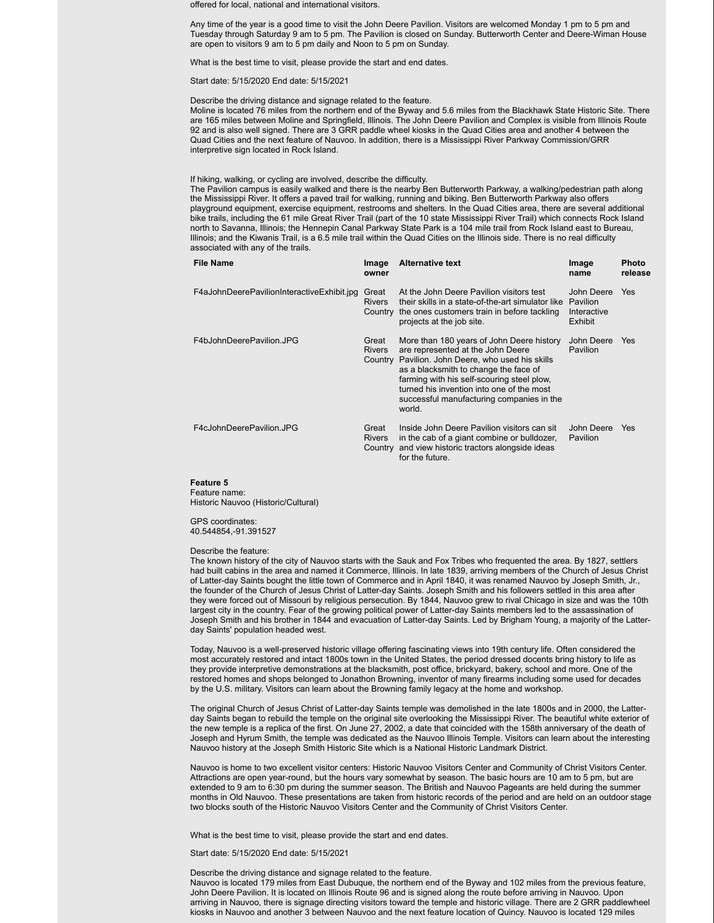offered for local, national and international visitors.

Any time of the year is a good time to visit the John Deere Pavilion. Visitors are welcomed Monday 1 pm to 5 pm and Tuesday through Saturday 9 am to 5 pm. The Pavilion is closed on Sunday. Butterworth Center and Deere-Wiman House are open to visitors 9 am to 5 pm daily and Noon to 5 pm on Sunday.

What is the best time to visit, please provide the start and end dates.

Start date: 5/15/2020 End date: 5/15/2021

Describe the driving distance and signage related to the feature.

Moline is located 76 miles from the northern end of the Byway and 5.6 miles from the Blackhawk State Historic Site. There are 165 miles between Moline and Springfield, Illinois. The John Deere Pavilion and Complex is visible from Illinois Route 92 and is also well signed. There are 3 GRR paddle wheel kiosks in the Quad Cities area and another 4 between the Quad Cities and the next feature of Nauvoo. In addition, there is a Mississippi River Parkway Commission/GRR interpretive sign located in Rock Island.

If hiking, walking, or cycling are involved, describe the difficulty.

The Pavilion campus is easily walked and there is the nearby Ben Butterworth Parkway, a walking/pedestrian path along the Mississippi River. It offers a paved trail for walking, running and biking. Ben Butterworth Parkway also offers playground equipment, exercise equipment, restrooms and shelters. In the Quad Cities area, there are several additional bike trails, including the 61 mile Great River Trail (part of the 10 state Mississippi River Trail) which connects Rock Island north to Savanna, Illinois; the Hennepin Canal Parkway State Park is a 104 mile trail from Rock Island east to Bureau, Illinois; and the Kiwanis Trail, is a 6.5 mile trail within the Quad Cities on the Illinois side. There is no real difficulty associated with any of the trails.

| <b>File Name</b>                           | Image<br>owner         | <b>Alternative text</b>                                                                                                                                                                                                                                                                                                        | Image<br>name                                    | Photo<br>release |
|--------------------------------------------|------------------------|--------------------------------------------------------------------------------------------------------------------------------------------------------------------------------------------------------------------------------------------------------------------------------------------------------------------------------|--------------------------------------------------|------------------|
| F4aJohnDeerePavilionInteractiveExhibit.jpg | Great<br><b>Rivers</b> | At the John Deere Pavilion visitors test<br>their skills in a state-of-the-art simulator like<br>Country the ones customers train in before tackling<br>projects at the job site.                                                                                                                                              | John Deere<br>Pavilion<br>Interactive<br>Exhibit | <b>Yes</b>       |
| F4bJohnDeerePavilion.JPG                   | Great<br><b>Rivers</b> | More than 180 years of John Deere history<br>are represented at the John Deere<br>Country Pavilion. John Deere, who used his skills<br>as a blacksmith to change the face of<br>farming with his self-scouring steel plow.<br>turned his invention into one of the most<br>successful manufacturing companies in the<br>world. | John Deere<br>Pavilion                           | Yes              |
| F4cJohnDeerePavilion.JPG                   | Great<br><b>Rivers</b> | Inside John Deere Pavilion visitors can sit<br>in the cab of a giant combine or bulldozer,<br>Country and view historic tractors alongside ideas<br>for the future.                                                                                                                                                            | John Deere<br>Pavilion                           | Yes              |

#### **Feature 5**

Feature name: Historic Nauvoo (Historic/Cultural)

#### GPS coordinates: 40.544854,-91.391527

#### Describe the feature:

The known history of the city of Nauvoo starts with the Sauk and Fox Tribes who frequented the area. By 1827, settlers had built cabins in the area and named it Commerce, Illinois. In late 1839, arriving members of the Church of Jesus Christ of Latter-day Saints bought the little town of Commerce and in April 1840, it was renamed Nauvoo by Joseph Smith, Jr., the founder of the Church of Jesus Christ of Latter-day Saints. Joseph Smith and his followers settled in this area after they were forced out of Missouri by religious persecution. By 1844, Nauvoo grew to rival Chicago in size and was the 10th largest city in the country. Fear of the growing political power of Latter-day Saints members led to the assassination of Joseph Smith and his brother in 1844 and evacuation of Latter-day Saints. Led by Brigham Young, a majority of the Latterday Saints' population headed west.

Today, Nauvoo is a well-preserved historic village offering fascinating views into 19th century life. Often considered the most accurately restored and intact 1800s town in the United States, the period dressed docents bring history to life as they provide interpretive demonstrations at the blacksmith, post office, brickyard, bakery, school and more. One of the restored homes and shops belonged to Jonathon Browning, inventor of many firearms including some used for decades by the U.S. military. Visitors can learn about the Browning family legacy at the home and workshop.

The original Church of Jesus Christ of Latter-day Saints temple was demolished in the late 1800s and in 2000, the Latterday Saints began to rebuild the temple on the original site overlooking the Mississippi River. The beautiful white exterior of the new temple is a replica of the first. On June 27, 2002, a date that coincided with the 158th anniversary of the death of Joseph and Hyrum Smith, the temple was dedicated as the Nauvoo Illinois Temple. Visitors can learn about the interesting Nauvoo history at the Joseph Smith Historic Site which is a National Historic Landmark District.

Nauvoo is home to two excellent visitor centers: Historic Nauvoo Visitors Center and Community of Christ Visitors Center. Attractions are open year-round, but the hours vary somewhat by season. The basic hours are 10 am to 5 pm, but are extended to 9 am to 6:30 pm during the summer season. The British and Nauvoo Pageants are held during the summer months in Old Nauvoo. These presentations are taken from historic records of the period and are held on an outdoor stage two blocks south of the Historic Nauvoo Visitors Center and the Community of Christ Visitors Center.

What is the best time to visit, please provide the start and end dates.

Start date: 5/15/2020 End date: 5/15/2021

#### Describe the driving distance and signage related to the feature.

Nauvoo is located 179 miles from East Dubuque, the northern end of the Byway and 102 miles from the previous feature, John Deere Pavilion. It is located on Illinois Route 96 and is signed along the route before arriving in Nauvoo. Upon arriving in Nauvoo, there is signage directing visitors toward the temple and historic village. There are 2 GRR paddlewheel kiosks in Nauvoo and another 3 between Nauvoo and the next feature location of Quincy. Nauvoo is located 129 miles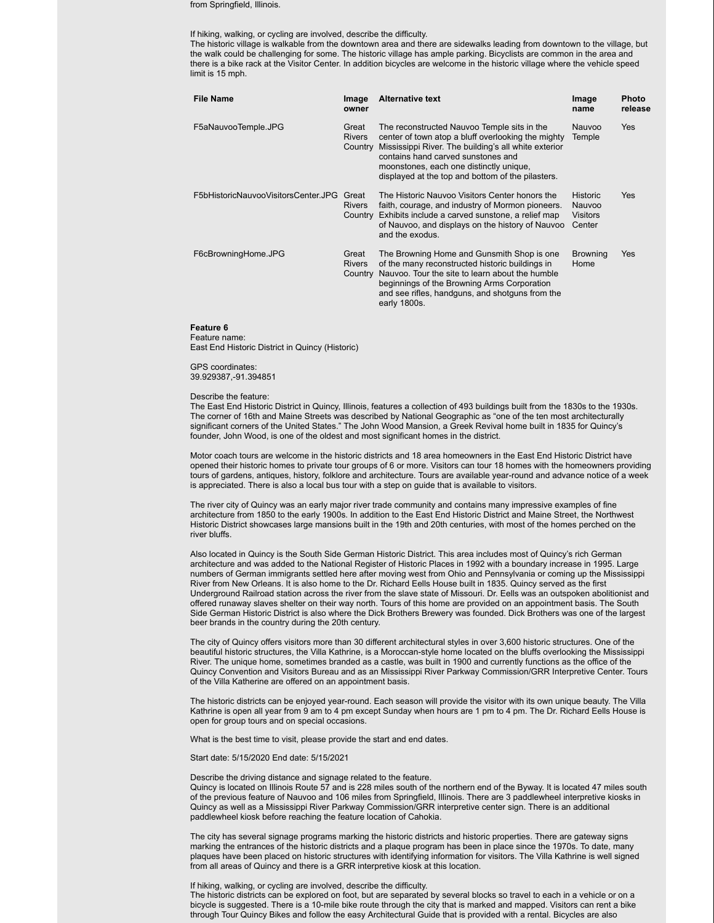from Springfield, Illinois.

#### If hiking, walking, or cycling are involved, describe the difficulty.

The historic village is walkable from the downtown area and there are sidewalks leading from downtown to the village, but the walk could be challenging for some. The historic village has ample parking. Bicyclists are common in the area and there is a bike rack at the Visitor Center. In addition bicycles are welcome in the historic village where the vehicle speed limit is 15 mph.

| <b>File Name</b>                    | Image<br>owner                    | <b>Alternative text</b>                                                                                                                                                                                                                                                                         | Image<br>name                                   | <b>Photo</b><br>release |
|-------------------------------------|-----------------------------------|-------------------------------------------------------------------------------------------------------------------------------------------------------------------------------------------------------------------------------------------------------------------------------------------------|-------------------------------------------------|-------------------------|
| F5aNauvooTemple.JPG                 | Great<br><b>Rivers</b><br>Country | The reconstructed Nauvoo Temple sits in the<br>center of town atop a bluff overlooking the mighty<br>Mississippi River. The building's all white exterior<br>contains hand carved sunstones and<br>moonstones, each one distinctly unique,<br>displayed at the top and bottom of the pilasters. | Nauvoo<br>Temple                                | Yes                     |
| F5bHistoricNauvooVisitorsCenter.JPG | Great<br><b>Rivers</b><br>Country | The Historic Nauvoo Visitors Center honors the<br>faith, courage, and industry of Mormon pioneers.<br>Exhibits include a carved sunstone, a relief map<br>of Nauvoo, and displays on the history of Nauvoo<br>and the exodus.                                                                   | <b>Historic</b><br>Nauvoo<br>Visitors<br>Center | <b>Yes</b>              |
| F6cBrowningHome.JPG                 | Great<br><b>Rivers</b><br>Country | The Browning Home and Gunsmith Shop is one<br>of the many reconstructed historic buildings in<br>Nauvoo. Tour the site to learn about the humble<br>beginnings of the Browning Arms Corporation<br>and see rifles, handguns, and shotguns from the<br>early 1800s.                              | <b>Browning</b><br>Home                         | <b>Yes</b>              |

#### **Feature 6**

Feature name:

East End Historic District in Quincy (Historic)

### GPS coordinates:

39.929387,-91.394851

#### Describe the feature:

The East End Historic District in Quincy, Illinois, features a collection of 493 buildings built from the 1830s to the 1930s. The corner of 16th and Maine Streets was described by National Geographic as "one of the ten most architecturally significant corners of the United States." The John Wood Mansion, a Greek Revival home built in 1835 for Quincy's founder, John Wood, is one of the oldest and most significant homes in the district.

Motor coach tours are welcome in the historic districts and 18 area homeowners in the East End Historic District have opened their historic homes to private tour groups of 6 or more. Visitors can tour 18 homes with the homeowners providing tours of gardens, antiques, history, folklore and architecture. Tours are available year-round and advance notice of a week is appreciated. There is also a local bus tour with a step on guide that is available to visitors.

The river city of Quincy was an early major river trade community and contains many impressive examples of fine architecture from 1850 to the early 1900s. In addition to the East End Historic District and Maine Street, the Northwest Historic District showcases large mansions built in the 19th and 20th centuries, with most of the homes perched on the river bluffs.

Also located in Quincy is the South Side German Historic District. This area includes most of Quincy's rich German architecture and was added to the National Register of Historic Places in 1992 with a boundary increase in 1995. Large numbers of German immigrants settled here after moving west from Ohio and Pennsylvania or coming up the Mississippi River from New Orleans. It is also home to the Dr. Richard Eells House built in 1835. Quincy served as the first Underground Railroad station across the river from the slave state of Missouri. Dr. Eells was an outspoken abolitionist and offered runaway slaves shelter on their way north. Tours of this home are provided on an appointment basis. The South Side German Historic District is also where the Dick Brothers Brewery was founded. Dick Brothers was one of the largest beer brands in the country during the 20th century.

The city of Quincy offers visitors more than 30 different architectural styles in over 3,600 historic structures. One of the beautiful historic structures, the Villa Kathrine, is a Moroccan-style home located on the bluffs overlooking the Mississippi River. The unique home, sometimes branded as a castle, was built in 1900 and currently functions as the office of the Quincy Convention and Visitors Bureau and as an Mississippi River Parkway Commission/GRR Interpretive Center. Tours of the Villa Katherine are offered on an appointment basis.

The historic districts can be enjoyed year-round. Each season will provide the visitor with its own unique beauty. The Villa Kathrine is open all year from 9 am to 4 pm except Sunday when hours are 1 pm to 4 pm. The Dr. Richard Eells House is open for group tours and on special occasions.

What is the best time to visit, please provide the start and end dates.

Start date: 5/15/2020 End date: 5/15/2021

#### Describe the driving distance and signage related to the feature.

Quincy is located on Illinois Route 57 and is 228 miles south of the northern end of the Byway. It is located 47 miles south of the previous feature of Nauvoo and 106 miles from Springfield, Illinois. There are 3 paddlewheel interpretive kiosks in Quincy as well as a Mississippi River Parkway Commission/GRR interpretive center sign. There is an additional paddlewheel kiosk before reaching the feature location of Cahokia.

The city has several signage programs marking the historic districts and historic properties. There are gateway signs marking the entrances of the historic districts and a plaque program has been in place since the 1970s. To date, many plaques have been placed on historic structures with identifying information for visitors. The Villa Kathrine is well signed from all areas of Quincy and there is a GRR interpretive kiosk at this location.

#### If hiking, walking, or cycling are involved, describe the difficulty.

The historic districts can be explored on foot, but are separated by several blocks so travel to each in a vehicle or on a bicycle is suggested. There is a 10-mile bike route through the city that is marked and mapped. Visitors can rent a bike through Tour Quincy Bikes and follow the easy Architectural Guide that is provided with a rental. Bicycles are also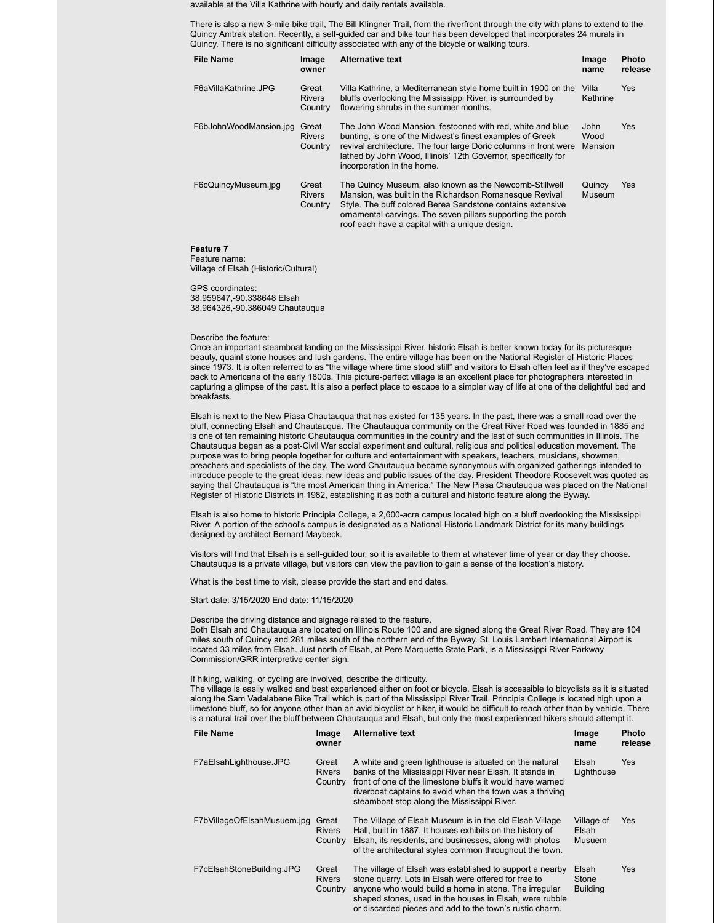available at the Villa Kathrine with hourly and daily rentals available.

There is also a new 3-mile bike trail, The Bill Klingner Trail, from the riverfront through the city with plans to extend to the Quincy Amtrak station. Recently, a self-guided car and bike tour has been developed that incorporates 24 murals in Quincy. There is no significant difficulty associated with any of the bicycle or walking tours.

| <b>File Name</b>       | Image<br>owner                    | <b>Alternative text</b>                                                                                                                                                                                                                                                                          | Image<br>name           | <b>Photo</b><br>release |
|------------------------|-----------------------------------|--------------------------------------------------------------------------------------------------------------------------------------------------------------------------------------------------------------------------------------------------------------------------------------------------|-------------------------|-------------------------|
| F6aVillaKathrine.JPG   | Great<br><b>Rivers</b><br>Country | Villa Kathrine, a Mediterranean style home built in 1900 on the<br>bluffs overlooking the Mississippi River, is surrounded by<br>flowering shrubs in the summer months.                                                                                                                          | Villa<br>Kathrine       | Yes                     |
| F6bJohnWoodMansion.jpg | Great<br><b>Rivers</b><br>Country | The John Wood Mansion, festooned with red, white and blue<br>bunting, is one of the Midwest's finest examples of Greek<br>revival architecture. The four large Doric columns in front were<br>lathed by John Wood, Illinois' 12th Governor, specifically for<br>incorporation in the home.       | John<br>Wood<br>Mansion | <b>Yes</b>              |
| F6cQuincyMuseum.jpg    | Great<br><b>Rivers</b><br>Country | The Quincy Museum, also known as the Newcomb-Stillwell<br>Mansion, was built in the Richardson Romanesque Revival<br>Style. The buff colored Berea Sandstone contains extensive<br>ornamental carvings. The seven pillars supporting the porch<br>roof each have a capital with a unique design. | Quincy<br><b>Museum</b> | Yes                     |

**Feature 7** Feature name:

Village of Elsah (Historic/Cultural)

GPS coordinates: 38.959647,-90.338648 Elsah 38.964326,-90.386049 Chautauqua

#### Describe the feature:

Once an important steamboat landing on the Mississippi River, historic Elsah is better known today for its picturesque beauty, quaint stone houses and lush gardens. The entire village has been on the National Register of Historic Places since 1973. It is often referred to as "the village where time stood still" and visitors to Elsah often feel as if they've escaped back to Americana of the early 1800s. This picture-perfect village is an excellent place for photographers interested in capturing a glimpse of the past. It is also a perfect place to escape to a simpler way of life at one of the delightful bed and breakfasts.

Elsah is next to the New Piasa Chautauqua that has existed for 135 years. In the past, there was a small road over the bluff, connecting Elsah and Chautauqua. The Chautauqua community on the Great River Road was founded in 1885 and is one of ten remaining historic Chautauqua communities in the country and the last of such communities in Illinois. The Chautauqua began as a post-Civil War social experiment and cultural, religious and political education movement. The purpose was to bring people together for culture and entertainment with speakers, teachers, musicians, showmen, preachers and specialists of the day. The word Chautauqua became synonymous with organized gatherings intended to introduce people to the great ideas, new ideas and public issues of the day. President Theodore Roosevelt was quoted as saying that Chautauqua is "the most American thing in America." The New Piasa Chautauqua was placed on the National Register of Historic Districts in 1982, establishing it as both a cultural and historic feature along the Byway.

Elsah is also home to historic Principia College, a 2,600-acre campus located high on a bluff overlooking the Mississippi River. A portion of the school's campus is designated as a National Historic Landmark District for its many buildings designed by architect Bernard Maybeck.

Visitors will find that Elsah is a self-guided tour, so it is available to them at whatever time of year or day they choose. Chautauqua is a private village, but visitors can view the pavilion to gain a sense of the location's history.

What is the best time to visit, please provide the start and end dates.

Start date: 3/15/2020 End date: 11/15/2020

Describe the driving distance and signage related to the feature. Both Elsah and Chautauqua are located on Illinois Route 100 and are signed along the Great River Road. They are 104 miles south of Quincy and 281 miles south of the northern end of the Byway. St. Louis Lambert International Airport is located 33 miles from Elsah. Just north of Elsah, at Pere Marquette State Park, is a Mississippi River Parkway Commission/GRR interpretive center sign.

#### If hiking, walking, or cycling are involved, describe the difficulty.

The village is easily walked and best experienced either on foot or bicycle. Elsah is accessible to bicyclists as it is situated along the Sam Vadalabene Bike Trail which is part of the Mississippi River Trail. Principia College is located high upon a limestone bluff, so for anyone other than an avid bicyclist or hiker, it would be difficult to reach other than by vehicle. There is a natural trail over the bluff between Chautauqua and Elsah, but only the most experienced hikers should attempt it.

| <b>File Name</b>            | Image<br>owner                    | <b>Alternative text</b>                                                                                                                                                                                                                                                                         | Image<br>name                        | <b>Photo</b><br>release |
|-----------------------------|-----------------------------------|-------------------------------------------------------------------------------------------------------------------------------------------------------------------------------------------------------------------------------------------------------------------------------------------------|--------------------------------------|-------------------------|
| F7aElsahLighthouse.JPG      | Great<br><b>Rivers</b><br>Country | A white and green lighthouse is situated on the natural<br>banks of the Mississippi River near Elsah. It stands in<br>front of one of the limestone bluffs it would have warned<br>riverboat captains to avoid when the town was a thriving<br>steamboat stop along the Mississippi River.      | Elsah<br>Lighthouse                  | Yes                     |
| F7bVillageOfElsahMusuem.jpg | Great<br><b>Rivers</b><br>Country | The Village of Elsah Museum is in the old Elsah Village<br>Hall, built in 1887. It houses exhibits on the history of<br>Elsah, its residents, and businesses, along with photos<br>of the architectural styles common throughout the town.                                                      | Village of<br>Elsah<br><b>Musuem</b> | Yes                     |
| F7cElsahStoneBuilding.JPG   | Great<br><b>Rivers</b><br>Country | The village of Elsah was established to support a nearby<br>stone quarry. Lots in Elsah were offered for free to<br>anyone who would build a home in stone. The irregular<br>shaped stones, used in the houses in Elsah, were rubble<br>or discarded pieces and add to the town's rustic charm. | Elsah<br>Stone<br><b>Building</b>    | <b>Yes</b>              |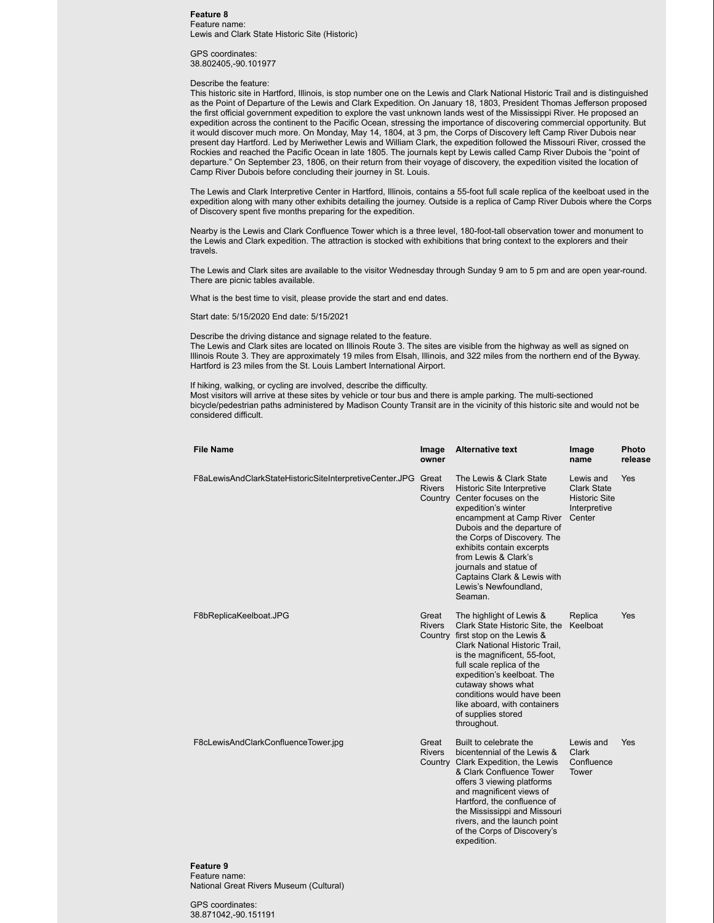#### **Feature 8** Feature name: Lewis and Clark State Historic Site (Historic)

GPS coordinates: 38.802405,-90.101977

#### Describe the feature:

This historic site in Hartford, Illinois, is stop number one on the Lewis and Clark National Historic Trail and is distinguished as the Point of Departure of the Lewis and Clark Expedition. On January 18, 1803, President Thomas Jefferson proposed the first official government expedition to explore the vast unknown lands west of the Mississippi River. He proposed an expedition across the continent to the Pacific Ocean, stressing the importance of discovering commercial opportunity. But it would discover much more. On Monday, May 14, 1804, at 3 pm, the Corps of Discovery left Camp River Dubois near present day Hartford. Led by Meriwether Lewis and William Clark, the expedition followed the Missouri River, crossed the Rockies and reached the Pacific Ocean in late 1805. The journals kept by Lewis called Camp River Dubois the "point of departure." On September 23, 1806, on their return from their voyage of discovery, the expedition visited the location of Camp River Dubois before concluding their journey in St. Louis.

The Lewis and Clark Interpretive Center in Hartford, Illinois, contains a 55-foot full scale replica of the keelboat used in the expedition along with many other exhibits detailing the journey. Outside is a replica of Camp River Dubois where the Corps of Discovery spent five months preparing for the expedition.

Nearby is the Lewis and Clark Confluence Tower which is a three level, 180-foot-tall observation tower and monument to the Lewis and Clark expedition. The attraction is stocked with exhibitions that bring context to the explorers and their travels.

The Lewis and Clark sites are available to the visitor Wednesday through Sunday 9 am to 5 pm and are open year-round. There are picnic tables available.

What is the best time to visit, please provide the start and end dates.

Start date: 5/15/2020 End date: 5/15/2021

Describe the driving distance and signage related to the feature. The Lewis and Clark sites are located on Illinois Route 3. The sites are visible from the highway as well as signed on Illinois Route 3. They are approximately 19 miles from Elsah, Illinois, and 322 miles from the northern end of the Byway. Hartford is 23 miles from the St. Louis Lambert International Airport.

If hiking, walking, or cycling are involved, describe the difficulty.

Most visitors will arrive at these sites by vehicle or tour bus and there is ample parking. The multi-sectioned bicycle/pedestrian paths administered by Madison County Transit are in the vicinity of this historic site and would not be considered difficult.

| <b>File Name</b>                                        | Image<br>owner                    | <b>Alternative text</b>                                                                                                                                                                                                                                                                                                                                  | Image<br>name                                                                     | Photo<br>release |
|---------------------------------------------------------|-----------------------------------|----------------------------------------------------------------------------------------------------------------------------------------------------------------------------------------------------------------------------------------------------------------------------------------------------------------------------------------------------------|-----------------------------------------------------------------------------------|------------------|
| F8aLewisAndClarkStateHistoricSiteInterpretiveCenter.JPG | Great<br><b>Rivers</b><br>Country | The Lewis & Clark State<br><b>Historic Site Interpretive</b><br>Center focuses on the<br>expedition's winter<br>encampment at Camp River<br>Dubois and the departure of<br>the Corps of Discovery. The<br>exhibits contain excerpts<br>from Lewis & Clark's<br>journals and statue of<br>Captains Clark & Lewis with<br>Lewis's Newfoundland,<br>Seaman. | Lewis and<br><b>Clark State</b><br><b>Historic Site</b><br>Interpretive<br>Center | <b>Yes</b>       |
| F8bReplicaKeelboat.JPG                                  | Great<br><b>Rivers</b>            | The highlight of Lewis &<br>Clark State Historic Site, the<br>Country first stop on the Lewis &<br>Clark National Historic Trail.<br>is the magnificent, 55-foot,<br>full scale replica of the<br>expedition's keelboat. The<br>cutaway shows what<br>conditions would have been<br>like aboard, with containers<br>of supplies stored<br>throughout.    | Replica<br>Keelboat                                                               | Yes              |
| F8cLewisAndClarkConfluenceTower.jpg                     | Great<br><b>Rivers</b>            | Built to celebrate the<br>bicentennial of the Lewis &<br>Country Clark Expedition, the Lewis<br>& Clark Confluence Tower<br>offers 3 viewing platforms<br>and magnificent views of<br>Hartford, the confluence of<br>the Mississippi and Missouri<br>rivers, and the launch point<br>of the Corps of Discovery's<br>expedition.                          | Lewis and<br><b>Clark</b><br>Confluence<br>Tower                                  | Yes              |

**Feature 9** Feature name: National Great Rivers Museum (Cultural)

GPS coordinates: 38.871042,-90.151191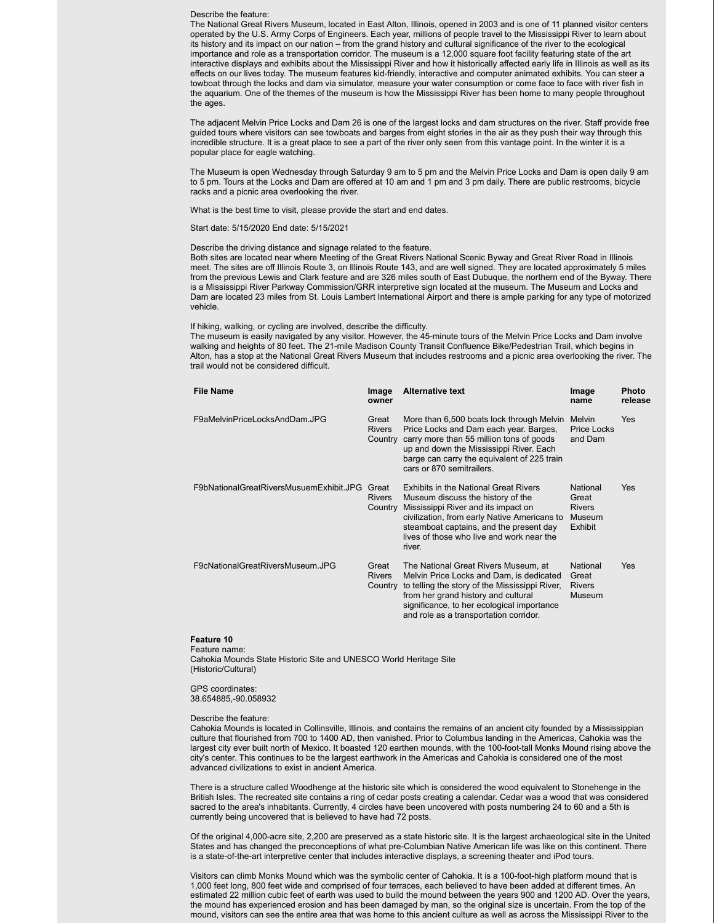#### Describe the feature:

The National Great Rivers Museum, located in East Alton, Illinois, opened in 2003 and is one of 11 planned visitor centers operated by the U.S. Army Corps of Engineers. Each year, millions of people travel to the Mississippi River to learn about its history and its impact on our nation – from the grand history and cultural significance of the river to the ecological importance and role as a transportation corridor. The museum is a 12,000 square foot facility featuring state of the art interactive displays and exhibits about the Mississippi River and how it historically affected early life in Illinois as well as its effects on our lives today. The museum features kid-friendly, interactive and computer animated exhibits. You can steer a towboat through the locks and dam via simulator, measure your water consumption or come face to face with river fish in the aquarium. One of the themes of the museum is how the Mississippi River has been home to many people throughout the ages.

The adjacent Melvin Price Locks and Dam 26 is one of the largest locks and dam structures on the river. Staff provide free guided tours where visitors can see towboats and barges from eight stories in the air as they push their way through this incredible structure. It is a great place to see a part of the river only seen from this vantage point. In the winter it is a popular place for eagle watching.

The Museum is open Wednesday through Saturday 9 am to 5 pm and the Melvin Price Locks and Dam is open daily 9 am to 5 pm. Tours at the Locks and Dam are offered at 10 am and 1 pm and 3 pm daily. There are public restrooms, bicycle racks and a picnic area overlooking the river.

What is the best time to visit, please provide the start and end dates.

Start date: 5/15/2020 End date: 5/15/2021

#### Describe the driving distance and signage related to the feature.

Both sites are located near where Meeting of the Great Rivers National Scenic Byway and Great River Road in Illinois meet. The sites are off Illinois Route 3, on Illinois Route 143, and are well signed. They are located approximately 5 miles from the previous Lewis and Clark feature and are 326 miles south of East Dubuque, the northern end of the Byway. There is a Mississippi River Parkway Commission/GRR interpretive sign located at the museum. The Museum and Locks and Dam are located 23 miles from St. Louis Lambert International Airport and there is ample parking for any type of motorized vehicle.

If hiking, walking, or cycling are involved, describe the difficulty.

The museum is easily navigated by any visitor. However, the 45-minute tours of the Melvin Price Locks and Dam involve walking and heights of 80 feet. The 21-mile Madison County Transit Confluence Bike/Pedestrian Trail, which begins in Alton, has a stop at the National Great Rivers Museum that includes restrooms and a picnic area overlooking the river. The trail would not be considered difficult.

| <b>File Name</b>                        | Image<br>owner                    | <b>Alternative text</b>                                                                                                                                                                                                                                                    | Image<br>name                                                  | <b>Photo</b><br>release |
|-----------------------------------------|-----------------------------------|----------------------------------------------------------------------------------------------------------------------------------------------------------------------------------------------------------------------------------------------------------------------------|----------------------------------------------------------------|-------------------------|
| F9aMelvinPriceLocksAndDam.JPG           | Great<br><b>Rivers</b>            | More than 6,500 boats lock through Melvin<br>Price Locks and Dam each year. Barges,<br>Country carry more than 55 million tons of goods<br>up and down the Mississippi River. Each<br>barge can carry the equivalent of 225 train<br>cars or 870 semitrailers.             | Melvin<br><b>Price Locks</b><br>and Dam                        | <b>Yes</b>              |
| F9bNationalGreatRiversMusuemExhibit.JPG | Great<br><b>Rivers</b><br>Country | <b>Exhibits in the National Great Rivers</b><br>Museum discuss the history of the<br>Mississippi River and its impact on<br>civilization, from early Native Americans to<br>steamboat captains, and the present day<br>lives of those who live and work near the<br>river. | National<br>Great<br><b>Rivers</b><br>Museum<br><b>Exhibit</b> | <b>Yes</b>              |
| F9cNationalGreatRiversMuseum.JPG        | Great<br><b>Rivers</b><br>Country | The National Great Rivers Museum, at<br>Melvin Price Locks and Dam, is dedicated<br>to telling the story of the Mississippi River,<br>from her grand history and cultural<br>significance, to her ecological importance<br>and role as a transportation corridor.          | National<br>Great<br><b>Rivers</b><br>Museum                   | <b>Yes</b>              |

#### **Feature 10**

Feature name: Cahokia Mounds State Historic Site and UNESCO World Heritage Site (Historic/Cultural)

GPS coordinates: 38.654885,-90.058932

#### Describe the feature:

Cahokia Mounds is located in Collinsville, Illinois, and contains the remains of an ancient city founded by a Mississippian culture that flourished from 700 to 1400 AD, then vanished. Prior to Columbus landing in the Americas, Cahokia was the largest city ever built north of Mexico. It boasted 120 earthen mounds, with the 100-foot-tall Monks Mound rising above the city's center. This continues to be the largest earthwork in the Americas and Cahokia is considered one of the most advanced civilizations to exist in ancient America.

There is a structure called Woodhenge at the historic site which is considered the wood equivalent to Stonehenge in the British Isles. The recreated site contains a ring of cedar posts creating a calendar. Cedar was a wood that was considered sacred to the area's inhabitants. Currently, 4 circles have been uncovered with posts numbering 24 to 60 and a 5th is currently being uncovered that is believed to have had 72 posts.

Of the original 4,000-acre site, 2,200 are preserved as a state historic site. It is the largest archaeological site in the United States and has changed the preconceptions of what pre-Columbian Native American life was like on this continent. There is a state-of-the-art interpretive center that includes interactive displays, a screening theater and iPod tours.

Visitors can climb Monks Mound which was the symbolic center of Cahokia. It is a 100-foot-high platform mound that is 1,000 feet long, 800 feet wide and comprised of four terraces, each believed to have been added at different times. An estimated 22 million cubic feet of earth was used to build the mound between the years 900 and 1200 AD. Over the years, the mound has experienced erosion and has been damaged by man, so the original size is uncertain. From the top of the mound, visitors can see the entire area that was home to this ancient culture as well as across the Mississippi River to the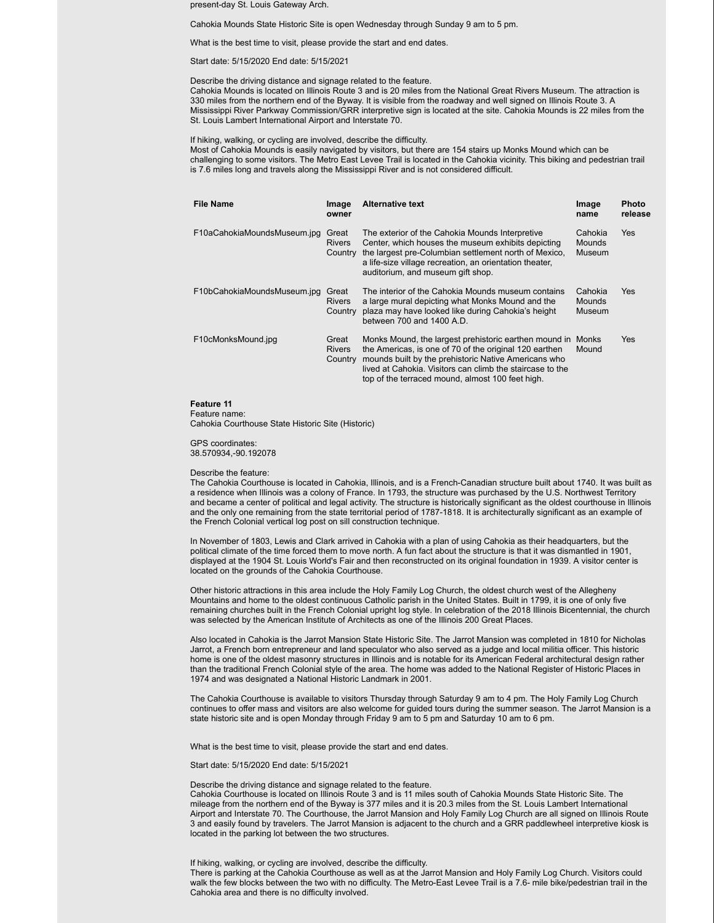present-day St. Louis Gateway Arch.

Cahokia Mounds State Historic Site is open Wednesday through Sunday 9 am to 5 pm.

What is the best time to visit, please provide the start and end dates.

Start date: 5/15/2020 End date: 5/15/2021

Describe the driving distance and signage related to the feature.

Cahokia Mounds is located on Illinois Route 3 and is 20 miles from the National Great Rivers Museum. The attraction is 330 miles from the northern end of the Byway. It is visible from the roadway and well signed on Illinois Route 3. A Mississippi River Parkway Commission/GRR interpretive sign is located at the site. Cahokia Mounds is 22 miles from the St. Louis Lambert International Airport and Interstate 70.

If hiking, walking, or cycling are involved, describe the difficulty.

Most of Cahokia Mounds is easily navigated by visitors, but there are 154 stairs up Monks Mound which can be challenging to some visitors. The Metro East Levee Trail is located in the Cahokia vicinity. This biking and pedestrian trail is 7.6 miles long and travels along the Mississippi River and is not considered difficult.

| <b>File Name</b>            | Image<br>owner                    | <b>Alternative text</b>                                                                                                                                                                                                                                                                  | Image<br>name               | <b>Photo</b><br>release |
|-----------------------------|-----------------------------------|------------------------------------------------------------------------------------------------------------------------------------------------------------------------------------------------------------------------------------------------------------------------------------------|-----------------------------|-------------------------|
| F10aCahokiaMoundsMuseum.jpg | Great<br><b>Rivers</b><br>Country | The exterior of the Cahokia Mounds Interpretive<br>Center, which houses the museum exhibits depicting<br>the largest pre-Columbian settlement north of Mexico.<br>a life-size village recreation, an orientation theater,<br>auditorium, and museum gift shop.                           | Cahokia<br>Mounds<br>Museum | <b>Yes</b>              |
| F10bCahokiaMoundsMuseum.jpg | Great<br><b>Rivers</b><br>Country | The interior of the Cahokia Mounds museum contains<br>a large mural depicting what Monks Mound and the<br>plaza may have looked like during Cahokia's height<br>between 700 and 1400 A.D.                                                                                                | Cahokia<br>Mounds<br>Museum | Yes                     |
| F10cMonksMound.jpg          | Great<br><b>Rivers</b><br>Country | Monks Mound, the largest prehistoric earthen mound in<br>the Americas, is one of 70 of the original 120 earthen<br>mounds built by the prehistoric Native Americans who<br>lived at Cahokia. Visitors can climb the staircase to the<br>top of the terraced mound, almost 100 feet high. | Monks<br>Mound              | <b>Yes</b>              |

#### **Feature 11**

Feature name:

Cahokia Courthouse State Historic Site (Historic)

GPS coordinates: 38.570934,-90.192078

#### Describe the feature:

The Cahokia Courthouse is located in Cahokia, Illinois, and is a French-Canadian structure built about 1740. It was built as a residence when Illinois was a colony of France. In 1793, the structure was purchased by the U.S. Northwest Territory and became a center of political and legal activity. The structure is historically significant as the oldest courthouse in Illinois and the only one remaining from the state territorial period of 1787-1818. It is architecturally significant as an example of the French Colonial vertical log post on sill construction technique.

In November of 1803, Lewis and Clark arrived in Cahokia with a plan of using Cahokia as their headquarters, but the political climate of the time forced them to move north. A fun fact about the structure is that it was dismantled in 1901, displayed at the 1904 St. Louis World's Fair and then reconstructed on its original foundation in 1939. A visitor center is located on the grounds of the Cahokia Courthouse.

Other historic attractions in this area include the Holy Family Log Church, the oldest church west of the Allegheny Mountains and home to the oldest continuous Catholic parish in the United States. Built in 1799, it is one of only five remaining churches built in the French Colonial upright log style. In celebration of the 2018 Illinois Bicentennial, the church was selected by the American Institute of Architects as one of the Illinois 200 Great Places.

Also located in Cahokia is the Jarrot Mansion State Historic Site. The Jarrot Mansion was completed in 1810 for Nicholas Jarrot, a French born entrepreneur and land speculator who also served as a judge and local militia officer. This historic home is one of the oldest masonry structures in Illinois and is notable for its American Federal architectural design rather than the traditional French Colonial style of the area. The home was added to the National Register of Historic Places in 1974 and was designated a National Historic Landmark in 2001.

The Cahokia Courthouse is available to visitors Thursday through Saturday 9 am to 4 pm. The Holy Family Log Church continues to offer mass and visitors are also welcome for guided tours during the summer season. The Jarrot Mansion is a state historic site and is open Monday through Friday 9 am to 5 pm and Saturday 10 am to 6 pm.

What is the best time to visit, please provide the start and end dates.

Start date: 5/15/2020 End date: 5/15/2021

#### Describe the driving distance and signage related to the feature.

Cahokia Courthouse is located on Illinois Route 3 and is 11 miles south of Cahokia Mounds State Historic Site. The mileage from the northern end of the Byway is 377 miles and it is 20.3 miles from the St. Louis Lambert International Airport and Interstate 70. The Courthouse, the Jarrot Mansion and Holy Family Log Church are all signed on Illinois Route 3 and easily found by travelers. The Jarrot Mansion is adjacent to the church and a GRR paddlewheel interpretive kiosk is located in the parking lot between the two structures.

If hiking, walking, or cycling are involved, describe the difficulty.

There is parking at the Cahokia Courthouse as well as at the Jarrot Mansion and Holy Family Log Church. Visitors could walk the few blocks between the two with no difficulty. The Metro-East Levee Trail is a 7.6- mile bike/pedestrian trail in the Cahokia area and there is no difficulty involved.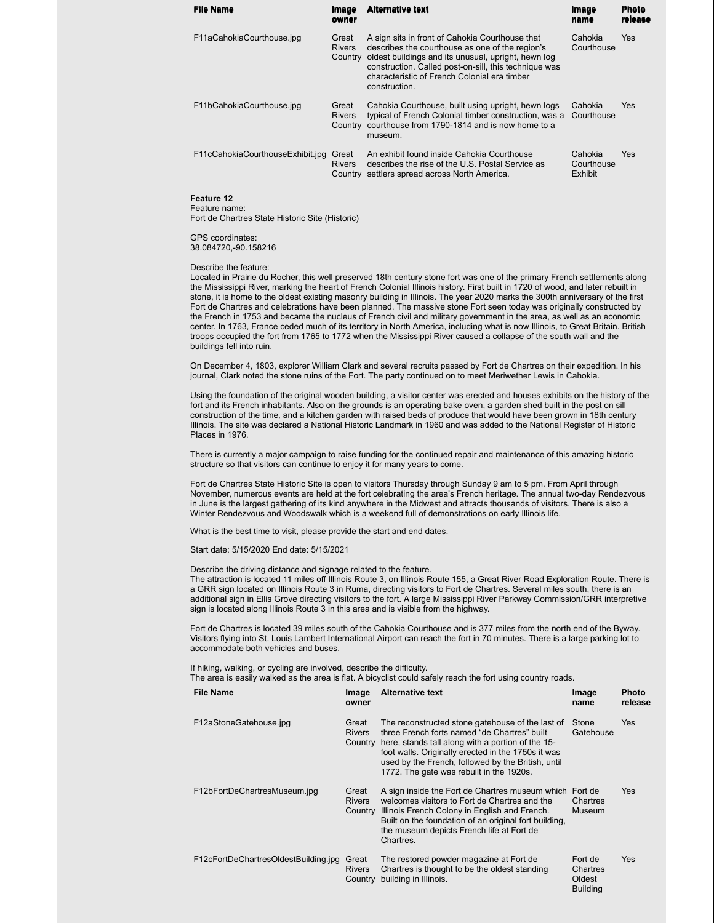| <b>File Name</b>                 | Image<br>owner                    | <b>Alternative text</b>                                                                                                                                                                                                                                                             | Image<br>name                           | <b>Photo</b><br>release |
|----------------------------------|-----------------------------------|-------------------------------------------------------------------------------------------------------------------------------------------------------------------------------------------------------------------------------------------------------------------------------------|-----------------------------------------|-------------------------|
| F11aCahokiaCourthouse.jpg        | Great<br><b>Rivers</b><br>Country | A sign sits in front of Cahokia Courthouse that<br>describes the courthouse as one of the region's<br>oldest buildings and its unusual, upright, hewn log<br>construction. Called post-on-sill, this technique was<br>characteristic of French Colonial era timber<br>construction. | Cahokia<br>Courthouse                   | Yes                     |
| F11bCahokiaCourthouse.jpg        | Great<br><b>Rivers</b><br>Country | Cahokia Courthouse, built using upright, hewn logs<br>typical of French Colonial timber construction, was a<br>courthouse from 1790-1814 and is now home to a<br>museum.                                                                                                            | Cahokia<br>Courthouse                   | Yes                     |
| F11cCahokiaCourthouseExhibit.jpg | Great<br><b>Rivers</b>            | An exhibit found inside Cahokia Courthouse<br>describes the rise of the U.S. Postal Service as<br>Country settlers spread across North America.                                                                                                                                     | Cahokia<br>Courthouse<br><b>Exhibit</b> | Yes                     |

**Feature 12** Feature name:

Fort de Chartres State Historic Site (Historic)

GPS coordinates: 38.084720,-90.158216

Describe the feature:

Located in Prairie du Rocher, this well preserved 18th century stone fort was one of the primary French settlements along the Mississippi River, marking the heart of French Colonial Illinois history. First built in 1720 of wood, and later rebuilt in stone, it is home to the oldest existing masonry building in Illinois. The year 2020 marks the 300th anniversary of the first Fort de Chartres and celebrations have been planned. The massive stone Fort seen today was originally constructed by the French in 1753 and became the nucleus of French civil and military government in the area, as well as an economic center. In 1763, France ceded much of its territory in North America, including what is now Illinois, to Great Britain. British troops occupied the fort from 1765 to 1772 when the Mississippi River caused a collapse of the south wall and the buildings fell into ruin.

On December 4, 1803, explorer William Clark and several recruits passed by Fort de Chartres on their expedition. In his journal, Clark noted the stone ruins of the Fort. The party continued on to meet Meriwether Lewis in Cahokia.

Using the foundation of the original wooden building, a visitor center was erected and houses exhibits on the history of the fort and its French inhabitants. Also on the grounds is an operating bake oven, a garden shed built in the post on sill construction of the time, and a kitchen garden with raised beds of produce that would have been grown in 18th century Illinois. The site was declared a National Historic Landmark in 1960 and was added to the National Register of Historic Places in 1976.

There is currently a major campaign to raise funding for the continued repair and maintenance of this amazing historic structure so that visitors can continue to enjoy it for many years to come.

Fort de Chartres State Historic Site is open to visitors Thursday through Sunday 9 am to 5 pm. From April through November, numerous events are held at the fort celebrating the area's French heritage. The annual two-day Rendezvous in June is the largest gathering of its kind anywhere in the Midwest and attracts thousands of visitors. There is also a Winter Rendezvous and Woodswalk which is a weekend full of demonstrations on early Illinois life.

What is the best time to visit, please provide the start and end dates.

Start date: 5/15/2020 End date: 5/15/2021

Describe the driving distance and signage related to the feature.

The attraction is located 11 miles off Illinois Route 3, on Illinois Route 155, a Great River Road Exploration Route. There is a GRR sign located on Illinois Route 3 in Ruma, directing visitors to Fort de Chartres. Several miles south, there is an additional sign in Ellis Grove directing visitors to the fort. A large Mississippi River Parkway Commission/GRR interpretive sign is located along Illinois Route 3 in this area and is visible from the highway.

Fort de Chartres is located 39 miles south of the Cahokia Courthouse and is 377 miles from the north end of the Byway. Visitors flying into St. Louis Lambert International Airport can reach the fort in 70 minutes. There is a large parking lot to accommodate both vehicles and buses.

If hiking, walking, or cycling are involved, describe the difficulty. The area is easily walked as the area is flat. A bicyclist could safely reach the fort using country roads.

| File Name                            | Image<br>owner                    | <b>Alternative text</b>                                                                                                                                                                                                                                                                                       | Image<br>name                                    | <b>Photo</b><br>release |
|--------------------------------------|-----------------------------------|---------------------------------------------------------------------------------------------------------------------------------------------------------------------------------------------------------------------------------------------------------------------------------------------------------------|--------------------------------------------------|-------------------------|
| F12aStoneGatehouse.jpg               | Great<br><b>Rivers</b><br>Country | The reconstructed stone gatehouse of the last of<br>three French forts named "de Chartres" built<br>here, stands tall along with a portion of the 15-<br>foot walls. Originally erected in the 1750s it was<br>used by the French, followed by the British, until<br>1772. The gate was rebuilt in the 1920s. | Stone<br>Gatehouse                               | Yes                     |
| F12bFortDeChartresMuseum.jpg         | Great<br><b>Rivers</b><br>Country | A sign inside the Fort de Chartres museum which Fort de<br>welcomes visitors to Fort de Chartres and the<br>Illinois French Colony in English and French.<br>Built on the foundation of an original fort building.<br>the museum depicts French life at Fort de<br>Chartres.                                  | Chartres<br>Museum                               | <b>Yes</b>              |
| F12cFortDeChartresOldestBuilding.jpg | Great<br><b>Rivers</b><br>Country | The restored powder magazine at Fort de<br>Chartres is thought to be the oldest standing<br>building in Illinois.                                                                                                                                                                                             | Fort de<br>Chartres<br>Oldest<br><b>Building</b> | Yes                     |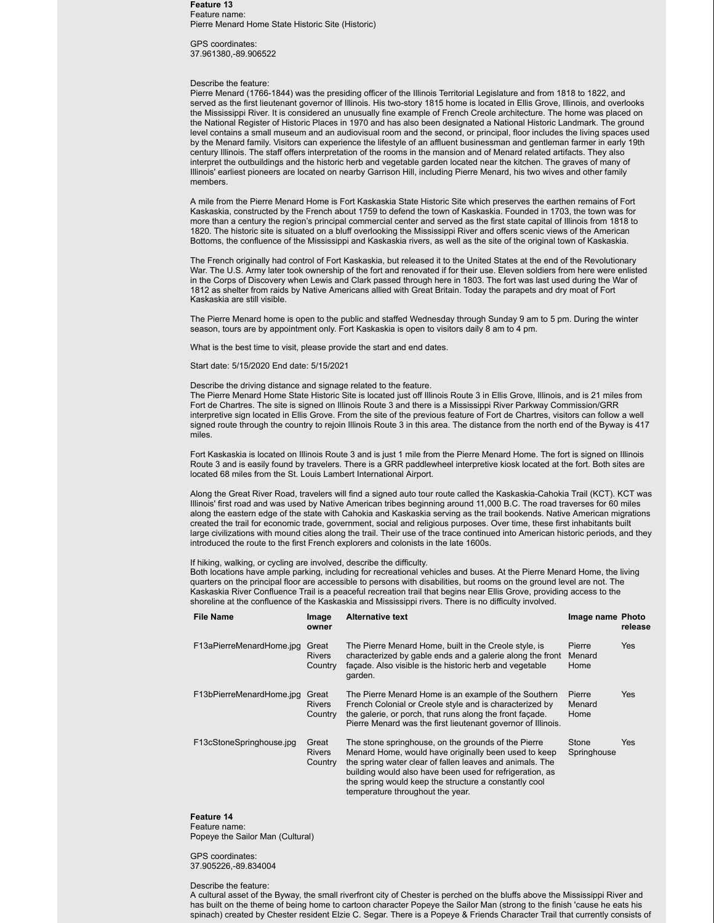**Feature 13** Feature name: Pierre Menard Home State Historic Site (Historic)

GPS coordinates: 37.961380,-89.906522

#### Describe the feature:

Pierre Menard (1766-1844) was the presiding officer of the Illinois Territorial Legislature and from 1818 to 1822, and served as the first lieutenant governor of Illinois. His two-story 1815 home is located in Ellis Grove, Illinois, and overlooks the Mississippi River. It is considered an unusually fine example of French Creole architecture. The home was placed on the National Register of Historic Places in 1970 and has also been designated a National Historic Landmark. The ground level contains a small museum and an audiovisual room and the second, or principal, floor includes the living spaces used by the Menard family. Visitors can experience the lifestyle of an affluent businessman and gentleman farmer in early 19th century Illinois. The staff offers interpretation of the rooms in the mansion and of Menard related artifacts. They also interpret the outbuildings and the historic herb and vegetable garden located near the kitchen. The graves of many of Illinois' earliest pioneers are located on nearby Garrison Hill, including Pierre Menard, his two wives and other family members.

A mile from the Pierre Menard Home is Fort Kaskaskia State Historic Site which preserves the earthen remains of Fort Kaskaskia, constructed by the French about 1759 to defend the town of Kaskaskia. Founded in 1703, the town was for more than a century the region's principal commercial center and served as the first state capital of Illinois from 1818 to 1820. The historic site is situated on a bluff overlooking the Mississippi River and offers scenic views of the American Bottoms, the confluence of the Mississippi and Kaskaskia rivers, as well as the site of the original town of Kaskaskia.

The French originally had control of Fort Kaskaskia, but released it to the United States at the end of the Revolutionary War. The U.S. Army later took ownership of the fort and renovated if for their use. Eleven soldiers from here were enlisted in the Corps of Discovery when Lewis and Clark passed through here in 1803. The fort was last used during the War of 1812 as shelter from raids by Native Americans allied with Great Britain. Today the parapets and dry moat of Fort Kaskaskia are still visible.

The Pierre Menard home is open to the public and staffed Wednesday through Sunday 9 am to 5 pm. During the winter season, tours are by appointment only. Fort Kaskaskia is open to visitors daily 8 am to 4 pm.

What is the best time to visit, please provide the start and end dates.

#### Start date: 5/15/2020 End date: 5/15/2021

#### Describe the driving distance and signage related to the feature.

The Pierre Menard Home State Historic Site is located just off Illinois Route 3 in Ellis Grove, Illinois, and is 21 miles from Fort de Chartres. The site is signed on Illinois Route 3 and there is a Mississippi River Parkway Commission/GRR interpretive sign located in Ellis Grove. From the site of the previous feature of Fort de Chartres, visitors can follow a well signed route through the country to rejoin Illinois Route 3 in this area. The distance from the north end of the Byway is 417 miles.

Fort Kaskaskia is located on Illinois Route 3 and is just 1 mile from the Pierre Menard Home. The fort is signed on Illinois Route 3 and is easily found by travelers. There is a GRR paddlewheel interpretive kiosk located at the fort. Both sites are located 68 miles from the St. Louis Lambert International Airport.

Along the Great River Road, travelers will find a signed auto tour route called the Kaskaskia-Cahokia Trail (KCT). KCT was Illinois' first road and was used by Native American tribes beginning around 11,000 B.C. The road traverses for 60 miles along the eastern edge of the state with Cahokia and Kaskaskia serving as the trail bookends. Native American migrations created the trail for economic trade, government, social and religious purposes. Over time, these first inhabitants built large civilizations with mound cities along the trail. Their use of the trace continued into American historic periods, and they introduced the route to the first French explorers and colonists in the late 1600s.

#### If hiking, walking, or cycling are involved, describe the difficulty.

Both locations have ample parking, including for recreational vehicles and buses. At the Pierre Menard Home, the living quarters on the principal floor are accessible to persons with disabilities, but rooms on the ground level are not. The Kaskaskia River Confluence Trail is a peaceful recreation trail that begins near Ellis Grove, providing access to the shoreline at the confluence of the Kaskaskia and Mississippi rivers. There is no difficulty involved.

| File Name                | Image<br>owner                    | <b>Alternative text</b>                                                                                                                                                                                                                                                                                                          | Image name Photo         | release    |
|--------------------------|-----------------------------------|----------------------------------------------------------------------------------------------------------------------------------------------------------------------------------------------------------------------------------------------------------------------------------------------------------------------------------|--------------------------|------------|
| F13aPierreMenardHome.jpg | Great<br><b>Rivers</b><br>Country | The Pierre Menard Home, built in the Creole style, is<br>characterized by gable ends and a galerie along the front<br>facade. Also visible is the historic herb and vegetable<br>garden.                                                                                                                                         | Pierre<br>Menard<br>Home | <b>Yes</b> |
| F13bPierreMenardHome.jpg | Great<br><b>Rivers</b><br>Country | The Pierre Menard Home is an example of the Southern<br>French Colonial or Creole style and is characterized by<br>the galerie, or porch, that runs along the front facade.<br>Pierre Menard was the first lieutenant governor of Illinois.                                                                                      | Pierre<br>Menard<br>Home | Yes        |
| F13cStoneSpringhouse.jpg | Great<br><b>Rivers</b><br>Country | The stone springhouse, on the grounds of the Pierre<br>Menard Home, would have originally been used to keep<br>the spring water clear of fallen leaves and animals. The<br>building would also have been used for refrigeration, as<br>the spring would keep the structure a constantly cool<br>temperature throughout the year. | Stone<br>Springhouse     | Yes        |

#### **Feature 14**

Feature name: Popeye the Sailor Man (Cultural)

GPS coordinates: 37.905226,-89.834004

#### Describe the feature:

A cultural asset of the Byway, the small riverfront city of Chester is perched on the bluffs above the Mississippi River and has built on the theme of being home to cartoon character Popeye the Sailor Man (strong to the finish 'cause he eats his spinach) created by Chester resident Elzie C. Segar. There is a Popeye & Friends Character Trail that currently consists of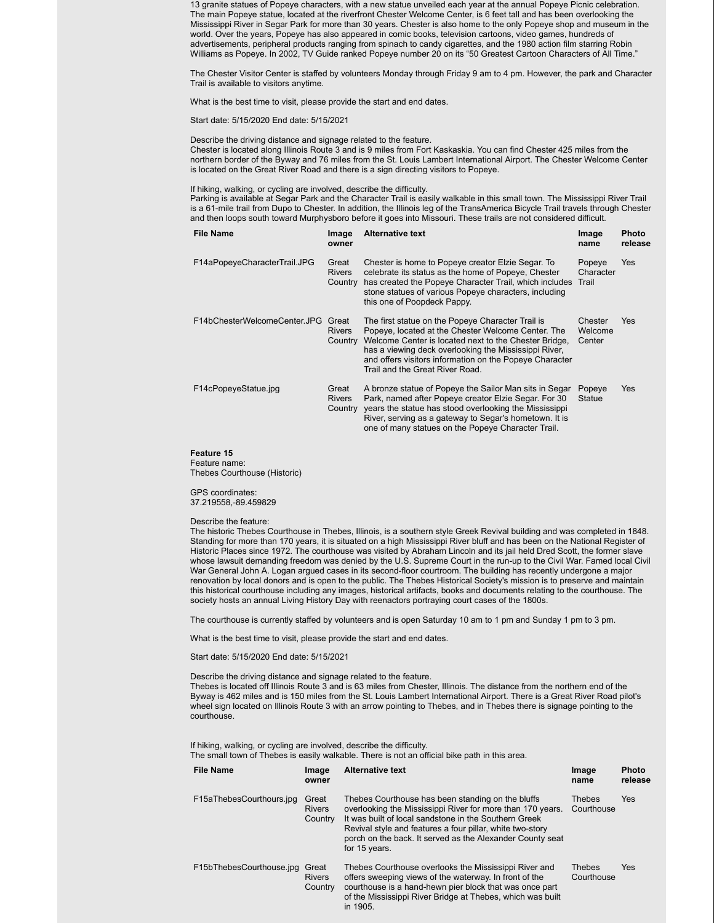13 granite statues of Popeye characters, with a new statue unveiled each year at the annual Popeye Picnic celebration. The main Popeye statue, located at the riverfront Chester Welcome Center, is 6 feet tall and has been overlooking the Mississippi River in Segar Park for more than 30 years. Chester is also home to the only Popeye shop and museum in the world. Over the years, Popeye has also appeared in comic books, television cartoons, video games, hundreds of advertisements, peripheral products ranging from spinach to candy cigarettes, and the 1980 action film starring Robin Williams as Popeye. In 2002, TV Guide ranked Popeye number 20 on its "50 Greatest Cartoon Characters of All Time."

The Chester Visitor Center is staffed by volunteers Monday through Friday 9 am to 4 pm. However, the park and Character Trail is available to visitors anytime.

What is the best time to visit, please provide the start and end dates.

Start date: 5/15/2020 End date: 5/15/2021

Describe the driving distance and signage related to the feature. Chester is located along Illinois Route 3 and is 9 miles from Fort Kaskaskia. You can find Chester 425 miles from the northern border of the Byway and 76 miles from the St. Louis Lambert International Airport. The Chester Welcome Center is located on the Great River Road and there is a sign directing visitors to Popeye.

If hiking, walking, or cycling are involved, describe the difficulty.

Parking is available at Segar Park and the Character Trail is easily walkable in this small town. The Mississippi River Trail is a 61-mile trail from Dupo to Chester. In addition, the Illinois leg of the TransAmerica Bicycle Trail travels through Chester and then loops south toward Murphysboro before it goes into Missouri. These trails are not considered difficult.

| <b>File Name</b>             | Image<br>owner                    | <b>Alternative text</b>                                                                                                                                                                                                                                                                                                 | Image<br>name                | Photo<br>release |
|------------------------------|-----------------------------------|-------------------------------------------------------------------------------------------------------------------------------------------------------------------------------------------------------------------------------------------------------------------------------------------------------------------------|------------------------------|------------------|
| F14aPopeyeCharacterTrail.JPG | Great<br><b>Rivers</b><br>Country | Chester is home to Popeye creator Elzie Segar. To<br>celebrate its status as the home of Popeye, Chester<br>has created the Popeye Character Trail, which includes<br>stone statues of various Popeye characters, including<br>this one of Poopdeck Pappy.                                                              | Popeye<br>Character<br>Trail | <b>Yes</b>       |
| F14bChesterWelcomeCenter.JPG | Great<br><b>Rivers</b><br>Country | The first statue on the Popeye Character Trail is<br>Popeye, located at the Chester Welcome Center. The<br>Welcome Center is located next to the Chester Bridge,<br>has a viewing deck overlooking the Mississippi River.<br>and offers visitors information on the Popeye Character<br>Trail and the Great River Road. | Chester<br>Welcome<br>Center | <b>Yes</b>       |
| F14cPopeyeStatue.jpg         | Great<br><b>Rivers</b><br>Country | A bronze statue of Popeye the Sailor Man sits in Segar<br>Park, named after Popeye creator Elzie Segar. For 30<br>years the statue has stood overlooking the Mississippi<br>River, serving as a gateway to Segar's hometown. It is<br>one of many statues on the Popeye Character Trail.                                | Popeye<br><b>Statue</b>      | <b>Yes</b>       |

### **Feature 15**

Feature name: Thebes Courthouse (Historic)

GPS coordinates: 37.219558,-89.459829

#### Describe the feature:

The historic Thebes Courthouse in Thebes, Illinois, is a southern style Greek Revival building and was completed in 1848. Standing for more than 170 years, it is situated on a high Mississippi River bluff and has been on the National Register of Historic Places since 1972. The courthouse was visited by Abraham Lincoln and its jail held Dred Scott, the former slave whose lawsuit demanding freedom was denied by the U.S. Supreme Court in the run-up to the Civil War. Famed local Civil War General John A. Logan argued cases in its second-floor courtroom. The building has recently undergone a major renovation by local donors and is open to the public. The Thebes Historical Society's mission is to preserve and maintain this historical courthouse including any images, historical artifacts, books and documents relating to the courthouse. The society hosts an annual Living History Day with reenactors portraying court cases of the 1800s.

The courthouse is currently staffed by volunteers and is open Saturday 10 am to 1 pm and Sunday 1 pm to 3 pm.

What is the best time to visit, please provide the start and end dates.

Start date: 5/15/2020 End date: 5/15/2021

Describe the driving distance and signage related to the feature.

Thebes is located off Illinois Route 3 and is 63 miles from Chester, Illinois. The distance from the northern end of the Byway is 462 miles and is 150 miles from the St. Louis Lambert International Airport. There is a Great River Road pilot's wheel sign located on Illinois Route 3 with an arrow pointing to Thebes, and in Thebes there is signage pointing to the courthouse.

If hiking, walking, or cycling are involved, describe the difficulty.

The small town of Thebes is easily walkable. There is not an official bike path in this area.

| <b>File Name</b>         | Image<br>owner                    | <b>Alternative text</b>                                                                                                                                                                                                                                                                                             | Image<br>name        | <b>Photo</b><br>release |
|--------------------------|-----------------------------------|---------------------------------------------------------------------------------------------------------------------------------------------------------------------------------------------------------------------------------------------------------------------------------------------------------------------|----------------------|-------------------------|
| F15aThebesCourthours.jpg | Great<br><b>Rivers</b><br>Country | Thebes Courthouse has been standing on the bluffs<br>overlooking the Mississippi River for more than 170 years.<br>It was built of local sandstone in the Southern Greek<br>Revival style and features a four pillar, white two-story<br>porch on the back. It served as the Alexander County seat<br>for 15 years. | Thebes<br>Courthouse | Yes                     |
| F15bThebesCourthouse.jpg | Great<br><b>Rivers</b><br>Country | Thebes Courthouse overlooks the Mississippi River and<br>offers sweeping views of the waterway. In front of the<br>courthouse is a hand-hewn pier block that was once part<br>of the Mississippi River Bridge at Thebes, which was built<br>in 1905.                                                                | Thebes<br>Courthouse | Yes                     |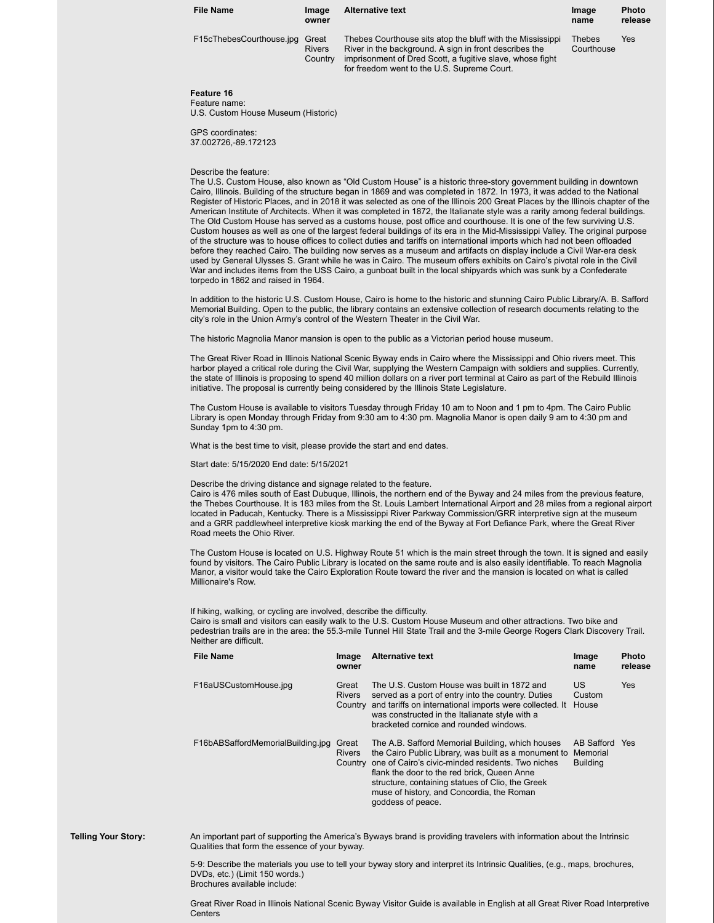| <b>File Name</b>         | Image<br>owner                    | <b>Alternative text</b>                                                                                                                                                                                                          | Image<br>name        | <b>Photo</b><br>release |
|--------------------------|-----------------------------------|----------------------------------------------------------------------------------------------------------------------------------------------------------------------------------------------------------------------------------|----------------------|-------------------------|
| F15cThebesCourthouse.jpg | Great<br><b>Rivers</b><br>Country | Thebes Courthouse sits atop the bluff with the Mississippi<br>River in the background. A sign in front describes the<br>imprisonment of Dred Scott, a fugitive slave, whose fight<br>for freedom went to the U.S. Supreme Court. | Thebes<br>Courthouse | Yes                     |

#### **Feature 16** Feature name:

U.S. Custom House Museum (Historic)

GPS coordinates: 37.002726,-89.172123

#### Describe the feature:

The U.S. Custom House, also known as "Old Custom House" is a historic three-story government building in downtown Cairo, Illinois. Building of the structure began in 1869 and was completed in 1872. In 1973, it was added to the National Register of Historic Places, and in 2018 it was selected as one of the Illinois 200 Great Places by the Illinois chapter of the American Institute of Architects. When it was completed in 1872, the Italianate style was a rarity among federal buildings. The Old Custom House has served as a customs house, post office and courthouse. It is one of the few surviving U.S. Custom houses as well as one of the largest federal buildings of its era in the Mid-Mississippi Valley. The original purpose of the structure was to house offices to collect duties and tariffs on international imports which had not been offloaded before they reached Cairo. The building now serves as a museum and artifacts on display include a Civil War-era desk used by General Ulysses S. Grant while he was in Cairo. The museum offers exhibits on Cairo's pivotal role in the Civil War and includes items from the USS Cairo, a gunboat built in the local shipyards which was sunk by a Confederate torpedo in 1862 and raised in 1964.

In addition to the historic U.S. Custom House, Cairo is home to the historic and stunning Cairo Public Library/A. B. Safford Memorial Building. Open to the public, the library contains an extensive collection of research documents relating to the city's role in the Union Army's control of the Western Theater in the Civil War.

The historic Magnolia Manor mansion is open to the public as a Victorian period house museum.

The Great River Road in Illinois National Scenic Byway ends in Cairo where the Mississippi and Ohio rivers meet. This harbor played a critical role during the Civil War, supplying the Western Campaign with soldiers and supplies. Currently, the state of Illinois is proposing to spend 40 million dollars on a river port terminal at Cairo as part of the Rebuild Illinois initiative. The proposal is currently being considered by the Illinois State Legislature.

The Custom House is available to visitors Tuesday through Friday 10 am to Noon and 1 pm to 4pm. The Cairo Public Library is open Monday through Friday from 9:30 am to 4:30 pm. Magnolia Manor is open daily 9 am to 4:30 pm and Sunday 1pm to 4:30 pm.

What is the best time to visit, please provide the start and end dates.

Start date: 5/15/2020 End date: 5/15/2021

Describe the driving distance and signage related to the feature.

Cairo is 476 miles south of East Dubuque, Illinois, the northern end of the Byway and 24 miles from the previous feature, the Thebes Courthouse. It is 183 miles from the St. Louis Lambert International Airport and 28 miles from a regional airport located in Paducah, Kentucky. There is a Mississippi River Parkway Commission/GRR interpretive sign at the museum and a GRR paddlewheel interpretive kiosk marking the end of the Byway at Fort Defiance Park, where the Great River Road meets the Ohio River.

The Custom House is located on U.S. Highway Route 51 which is the main street through the town. It is signed and easily found by visitors. The Cairo Public Library is located on the same route and is also easily identifiable. To reach Magnolia Manor, a visitor would take the Cairo Exploration Route toward the river and the mansion is located on what is called Millionaire's Row.

If hiking, walking, or cycling are involved, describe the difficulty. Cairo is small and visitors can easily walk to the U.S. Custom House Museum and other attractions. Two bike and pedestrian trails are in the area: the 55.3-mile Tunnel Hill State Trail and the 3-mile George Rogers Clark Discovery Trail. Neither are difficult.

| <b>File Name</b>                  | Image<br>owner                    | <b>Alternative text</b>                                                                                                                                                                                                                                                                                                            | Image<br>name                                 | <b>Photo</b><br>release |
|-----------------------------------|-----------------------------------|------------------------------------------------------------------------------------------------------------------------------------------------------------------------------------------------------------------------------------------------------------------------------------------------------------------------------------|-----------------------------------------------|-------------------------|
| F16aUSCustomHouse.jpg             | Great<br><b>Rivers</b>            | The U.S. Custom House was built in 1872 and<br>served as a port of entry into the country. Duties<br>Country and tariffs on international imports were collected. It<br>was constructed in the Italianate style with a<br>bracketed cornice and rounded windows.                                                                   | <b>US</b><br>Custom<br>House                  | Yes                     |
| F16bABSaffordMemorialBuilding.jpg | Great<br><b>Rivers</b><br>Country | The A.B. Safford Memorial Building, which houses<br>the Cairo Public Library, was built as a monument to<br>one of Cairo's civic-minded residents. Two niches<br>flank the door to the red brick, Queen Anne<br>structure, containing statues of Clio, the Greek<br>muse of history, and Concordia, the Roman<br>goddess of peace. | AB Safford Yes<br>Memorial<br><b>Building</b> |                         |

**Telling Your Story:** An important part of supporting the America's Byways brand is providing travelers with information about the Intrinsic Qualities that form the essence of your byway.

> 5-9: Describe the materials you use to tell your byway story and interpret its Intrinsic Qualities, (e.g., maps, brochures, DVDs, etc.) (Limit 150 words.) Brochures available include:

Great River Road in Illinois National Scenic Byway Visitor Guide is available in English at all Great River Road Interpretive **Centers**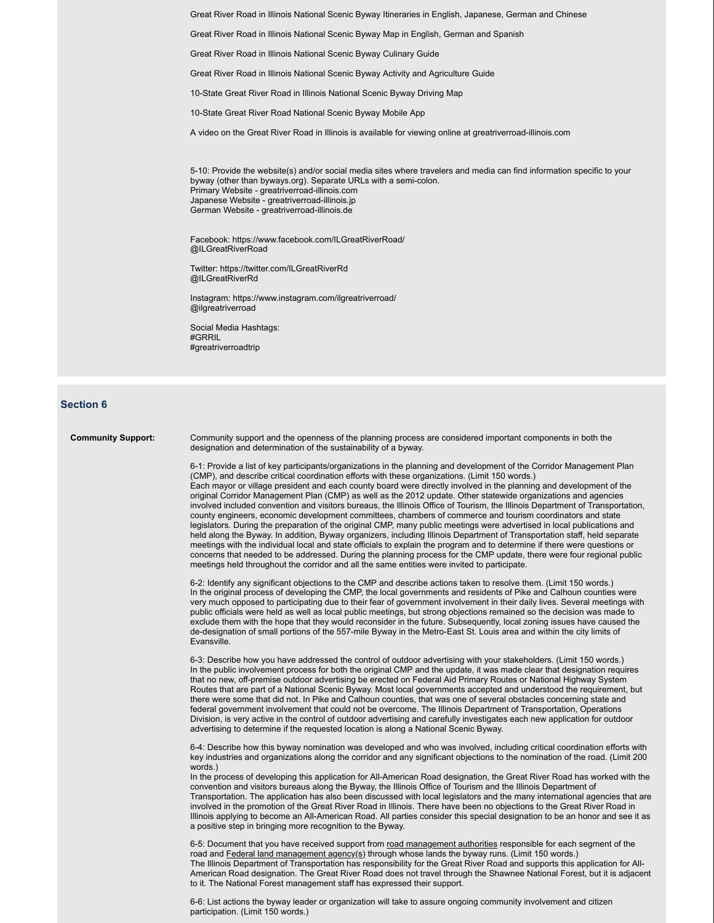Great River Road in Illinois National Scenic Byway Itineraries in English, Japanese, German and Chinese

Great River Road in Illinois National Scenic Byway Map in English, German and Spanish

Great River Road in Illinois National Scenic Byway Culinary Guide

Great River Road in Illinois National Scenic Byway Activity and Agriculture Guide

10-State Great River Road in Illinois National Scenic Byway Driving Map

10-State Great River Road National Scenic Byway Mobile App

A video on the Great River Road in Illinois is available for viewing online at greatriverroad-illinois.com

5-10: Provide the website(s) and/or social media sites where travelers and media can find information specific to your byway (other than byways.org). Separate URLs with a semi-colon. Primary Website - greatriverroad-illinois.com Japanese Website - greatriverroad-illinois.jp German Website - greatriverroad-illinois.de

Facebook: https://www.facebook.com/ILGreatRiverRoad/ @ILGreatRiverRoad

Twitter: https://twitter.com/ILGreatRiverRd @ILGreatRiverRd

Instagram: https://www.instagram.com/ilgreatriverroad/ @ilgreatriverroad

Social Media Hashtags: #GRRIL #greatriverroadtrip

### **Section 6**

**Community Support:** Community support and the openness of the planning process are considered important components in both the designation and determination of the sustainability of a byway.

> 6-1: Provide a list of key participants/organizations in the planning and development of the Corridor Management Plan (CMP), and describe critical coordination efforts with these organizations. (Limit 150 words.) Each mayor or village president and each county board were directly involved in the planning and development of the original Corridor Management Plan (CMP) as well as the 2012 update. Other statewide organizations and agencies involved included convention and visitors bureaus, the Illinois Office of Tourism, the Illinois Department of Transportation, county engineers, economic development committees, chambers of commerce and tourism coordinators and state legislators. During the preparation of the original CMP, many public meetings were advertised in local publications and held along the Byway. In addition, Byway organizers, including Illinois Department of Transportation staff, held separate meetings with the individual local and state officials to explain the program and to determine if there were questions or concerns that needed to be addressed. During the planning process for the CMP update, there were four regional public meetings held throughout the corridor and all the same entities were invited to participate.

> 6-2: Identify any significant objections to the CMP and describe actions taken to resolve them. (Limit 150 words.) In the original process of developing the CMP, the local governments and residents of Pike and Calhoun counties were very much opposed to participating due to their fear of government involvement in their daily lives. Several meetings with public officials were held as well as local public meetings, but strong objections remained so the decision was made to exclude them with the hope that they would reconsider in the future. Subsequently, local zoning issues have caused the de-designation of small portions of the 557-mile Byway in the Metro-East St. Louis area and within the city limits of Evansville.

> 6-3: Describe how you have addressed the control of outdoor advertising with your stakeholders. (Limit 150 words.) In the public involvement process for both the original CMP and the update, it was made clear that designation requires that no new, off-premise outdoor advertising be erected on Federal Aid Primary Routes or National Highway System Routes that are part of a National Scenic Byway. Most local governments accepted and understood the requirement, but there were some that did not. In Pike and Calhoun counties, that was one of several obstacles concerning state and federal government involvement that could not be overcome. The Illinois Department of Transportation, Operations Division, is very active in the control of outdoor advertising and carefully investigates each new application for outdoor advertising to determine if the requested location is along a National Scenic Byway.

6-4: Describe how this byway nomination was developed and who was involved, including critical coordination efforts with key industries and organizations along the corridor and any significant objections to the nomination of the road. (Limit 200 words.)

In the process of developing this application for All-American Road designation, the Great River Road has worked with the convention and visitors bureaus along the Byway, the Illinois Office of Tourism and the Illinois Department of Transportation. The application has also been discussed with local legislators and the many international agencies that are involved in the promotion of the Great River Road in Illinois. There have been no objections to the Great River Road in Illinois applying to become an All-American Road. All parties consider this special designation to be an honor and see it as a positive step in bringing more recognition to the Byway.

6-5: Document that you have received support from road management authorities responsible for each segment of the road and Federal land management agency(s) through whose lands the byway runs. (Limit 150 words.) The Illinois Department of Transportation has responsibility for the Great River Road and supports this application for All-American Road designation. The Great River Road does not travel through the Shawnee National Forest, but it is adjacent to it. The National Forest management staff has expressed their support.

6-6: List actions the byway leader or organization will take to assure ongoing community involvement and citizen participation. (Limit 150 words.)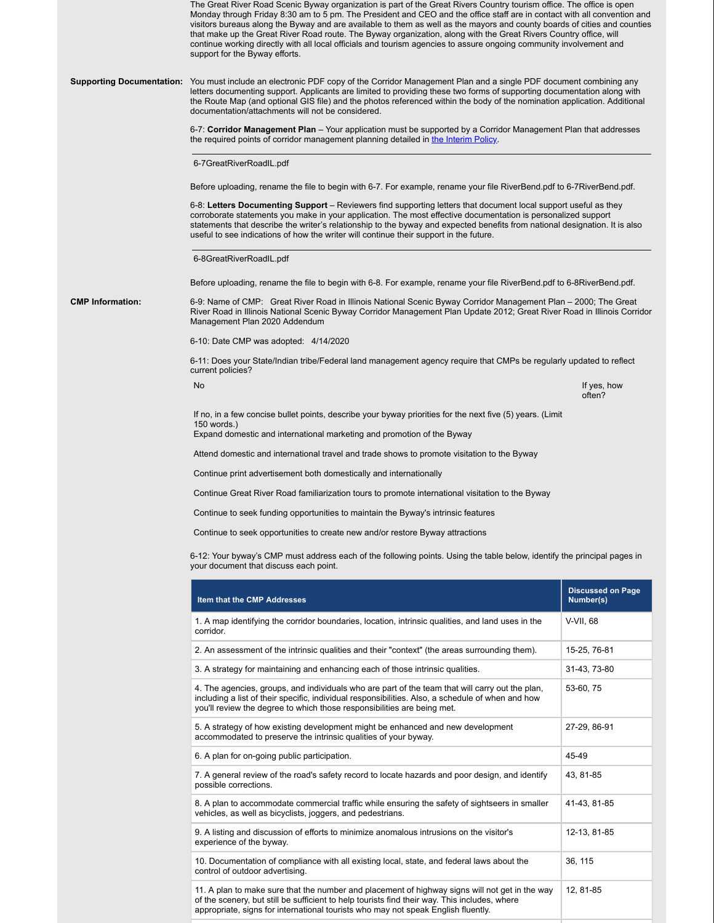|                         | The Great River Road Scenic Byway organization is part of the Great Rivers Country tourism office. The office is open<br>Monday through Friday 8:30 am to 5 pm. The President and CEO and the office staff are in contact with all convention and<br>visitors bureaus along the Byway and are available to them as well as the mayors and county boards of cities and counties<br>that make up the Great River Road route. The Byway organization, along with the Great Rivers Country office, will<br>continue working directly with all local officials and tourism agencies to assure ongoing community involvement and<br>support for the Byway efforts. |                                       |  |  |  |  |  |
|-------------------------|--------------------------------------------------------------------------------------------------------------------------------------------------------------------------------------------------------------------------------------------------------------------------------------------------------------------------------------------------------------------------------------------------------------------------------------------------------------------------------------------------------------------------------------------------------------------------------------------------------------------------------------------------------------|---------------------------------------|--|--|--|--|--|
|                         | Supporting Documentation: You must include an electronic PDF copy of the Corridor Management Plan and a single PDF document combining any<br>letters documenting support. Applicants are limited to providing these two forms of supporting documentation along with<br>the Route Map (and optional GIS file) and the photos referenced within the body of the nomination application. Additional<br>documentation/attachments will not be considered.                                                                                                                                                                                                       |                                       |  |  |  |  |  |
|                         | 6-7: Corridor Management Plan – Your application must be supported by a Corridor Management Plan that addresses<br>the required points of corridor management planning detailed in the Interim Policy.                                                                                                                                                                                                                                                                                                                                                                                                                                                       |                                       |  |  |  |  |  |
|                         | 6-7GreatRiverRoadIL.pdf                                                                                                                                                                                                                                                                                                                                                                                                                                                                                                                                                                                                                                      |                                       |  |  |  |  |  |
|                         | Before uploading, rename the file to begin with 6-7. For example, rename your file RiverBend.pdf to 6-7RiverBend.pdf.                                                                                                                                                                                                                                                                                                                                                                                                                                                                                                                                        |                                       |  |  |  |  |  |
|                         | 6-8: Letters Documenting Support – Reviewers find supporting letters that document local support useful as they<br>corroborate statements you make in your application. The most effective documentation is personalized support<br>statements that describe the writer's relationship to the byway and expected benefits from national designation. It is also<br>useful to see indications of how the writer will continue their support in the future.                                                                                                                                                                                                    |                                       |  |  |  |  |  |
|                         | 6-8GreatRiverRoadIL.pdf                                                                                                                                                                                                                                                                                                                                                                                                                                                                                                                                                                                                                                      |                                       |  |  |  |  |  |
|                         | Before uploading, rename the file to begin with 6-8. For example, rename your file RiverBend.pdf to 6-8RiverBend.pdf.                                                                                                                                                                                                                                                                                                                                                                                                                                                                                                                                        |                                       |  |  |  |  |  |
| <b>CMP Information:</b> | 6-9: Name of CMP: Great River Road in Illinois National Scenic Byway Corridor Management Plan – 2000; The Great<br>River Road in Illinois National Scenic Byway Corridor Management Plan Update 2012; Great River Road in Illinois Corridor<br>Management Plan 2020 Addendum                                                                                                                                                                                                                                                                                                                                                                                 |                                       |  |  |  |  |  |
|                         | 6-10: Date CMP was adopted: 4/14/2020                                                                                                                                                                                                                                                                                                                                                                                                                                                                                                                                                                                                                        |                                       |  |  |  |  |  |
|                         | 6-11: Does your State/Indian tribe/Federal land management agency require that CMPs be regularly updated to reflect<br>current policies?                                                                                                                                                                                                                                                                                                                                                                                                                                                                                                                     |                                       |  |  |  |  |  |
|                         | No                                                                                                                                                                                                                                                                                                                                                                                                                                                                                                                                                                                                                                                           | If yes, how<br>often?                 |  |  |  |  |  |
|                         | If no, in a few concise bullet points, describe your byway priorities for the next five (5) years. (Limit<br>150 words.)<br>Expand domestic and international marketing and promotion of the Byway                                                                                                                                                                                                                                                                                                                                                                                                                                                           |                                       |  |  |  |  |  |
|                         | Attend domestic and international travel and trade shows to promote visitation to the Byway                                                                                                                                                                                                                                                                                                                                                                                                                                                                                                                                                                  |                                       |  |  |  |  |  |
|                         | Continue print advertisement both domestically and internationally                                                                                                                                                                                                                                                                                                                                                                                                                                                                                                                                                                                           |                                       |  |  |  |  |  |
|                         | Continue Great River Road familiarization tours to promote international visitation to the Byway                                                                                                                                                                                                                                                                                                                                                                                                                                                                                                                                                             |                                       |  |  |  |  |  |
|                         | Continue to seek funding opportunities to maintain the Byway's intrinsic features                                                                                                                                                                                                                                                                                                                                                                                                                                                                                                                                                                            |                                       |  |  |  |  |  |
|                         | Continue to seek opportunities to create new and/or restore Byway attractions                                                                                                                                                                                                                                                                                                                                                                                                                                                                                                                                                                                |                                       |  |  |  |  |  |
|                         | 6-12: Your byway's CMP must address each of the following points. Using the table below, identify the principal pages in<br>your document that discuss each point.                                                                                                                                                                                                                                                                                                                                                                                                                                                                                           |                                       |  |  |  |  |  |
|                         | Item that the CMP Addresses                                                                                                                                                                                                                                                                                                                                                                                                                                                                                                                                                                                                                                  | <b>Discussed on Page</b><br>Number(s) |  |  |  |  |  |
|                         | 1. A map identifying the corridor boundaries, location, intrinsic qualities, and land uses in the<br>corridor.                                                                                                                                                                                                                                                                                                                                                                                                                                                                                                                                               | V-VII, 68                             |  |  |  |  |  |
|                         | 2. An assessment of the intrinsic qualities and their "context" (the areas surrounding them).                                                                                                                                                                                                                                                                                                                                                                                                                                                                                                                                                                | 15-25, 76-81                          |  |  |  |  |  |
|                         | 3. A strategy for maintaining and enhancing each of those intrinsic qualities.                                                                                                                                                                                                                                                                                                                                                                                                                                                                                                                                                                               | 31-43, 73-80                          |  |  |  |  |  |
|                         | 4. The agencies, groups, and individuals who are part of the team that will carry out the plan,<br>including a list of their specific, individual responsibilities. Also, a schedule of when and how<br>you'll review the degree to which those responsibilities are being met.                                                                                                                                                                                                                                                                                                                                                                              | 53-60, 75                             |  |  |  |  |  |
|                         | 5. A strategy of how existing development might be enhanced and new development<br>accommodated to preserve the intrinsic qualities of your byway.                                                                                                                                                                                                                                                                                                                                                                                                                                                                                                           | 27-29, 86-91                          |  |  |  |  |  |
|                         | 6. A plan for on-going public participation.                                                                                                                                                                                                                                                                                                                                                                                                                                                                                                                                                                                                                 | 45-49                                 |  |  |  |  |  |
|                         | 7. A general review of the road's safety record to locate hazards and poor design, and identify<br>possible corrections.                                                                                                                                                                                                                                                                                                                                                                                                                                                                                                                                     | 43, 81-85                             |  |  |  |  |  |
|                         | 8. A plan to accommodate commercial traffic while ensuring the safety of sightseers in smaller<br>vehicles, as well as bicyclists, joggers, and pedestrians.                                                                                                                                                                                                                                                                                                                                                                                                                                                                                                 | 41-43, 81-85                          |  |  |  |  |  |
|                         | 9. A listing and discussion of efforts to minimize anomalous intrusions on the visitor's<br>experience of the byway.                                                                                                                                                                                                                                                                                                                                                                                                                                                                                                                                         | 12-13, 81-85                          |  |  |  |  |  |
|                         | 10. Documentation of compliance with all existing local, state, and federal laws about the<br>control of outdoor advertising.                                                                                                                                                                                                                                                                                                                                                                                                                                                                                                                                | 36, 115                               |  |  |  |  |  |
|                         | 11. A plan to make sure that the number and placement of highway signs will not get in the way<br>of the scenery, but still be sufficient to help tourists find their way. This includes, where<br>appropriate, signs for international tourists who may not speak English fluently.                                                                                                                                                                                                                                                                                                                                                                         | 12, 81-85                             |  |  |  |  |  |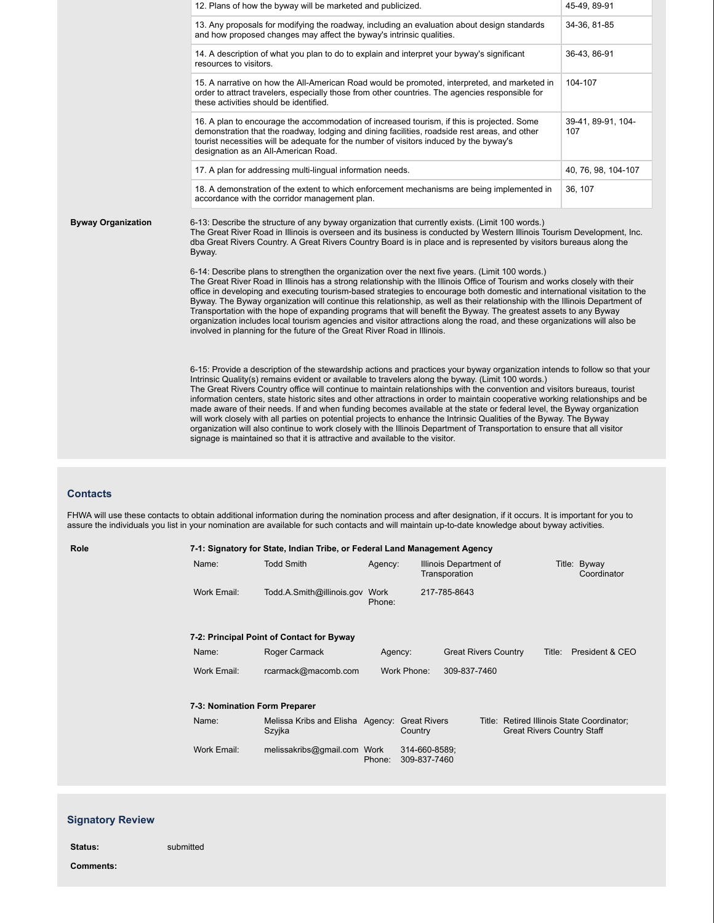|                           | 12. Plans of how the byway will be marketed and publicized.                                                                                                                                                                                                                                                                                                                                                                                                                                                                                                                                                                                                                                                                                                                                                                                                                                                                                                   | 45-49, 89-91              |  |  |  |
|---------------------------|---------------------------------------------------------------------------------------------------------------------------------------------------------------------------------------------------------------------------------------------------------------------------------------------------------------------------------------------------------------------------------------------------------------------------------------------------------------------------------------------------------------------------------------------------------------------------------------------------------------------------------------------------------------------------------------------------------------------------------------------------------------------------------------------------------------------------------------------------------------------------------------------------------------------------------------------------------------|---------------------------|--|--|--|
|                           | 13. Any proposals for modifying the roadway, including an evaluation about design standards<br>and how proposed changes may affect the byway's intrinsic qualities.                                                                                                                                                                                                                                                                                                                                                                                                                                                                                                                                                                                                                                                                                                                                                                                           | 34-36, 81-85              |  |  |  |
|                           | 14. A description of what you plan to do to explain and interpret your byway's significant<br>resources to visitors.                                                                                                                                                                                                                                                                                                                                                                                                                                                                                                                                                                                                                                                                                                                                                                                                                                          | 36-43, 86-91              |  |  |  |
|                           | 15. A narrative on how the All-American Road would be promoted, interpreted, and marketed in<br>order to attract travelers, especially those from other countries. The agencies responsible for<br>these activities should be identified.                                                                                                                                                                                                                                                                                                                                                                                                                                                                                                                                                                                                                                                                                                                     | 104-107                   |  |  |  |
|                           | 16. A plan to encourage the accommodation of increased tourism, if this is projected. Some<br>demonstration that the roadway, lodging and dining facilities, roadside rest areas, and other<br>tourist necessities will be adequate for the number of visitors induced by the byway's<br>designation as an All-American Road.                                                                                                                                                                                                                                                                                                                                                                                                                                                                                                                                                                                                                                 | 39-41, 89-91, 104-<br>107 |  |  |  |
|                           | 17. A plan for addressing multi-lingual information needs.                                                                                                                                                                                                                                                                                                                                                                                                                                                                                                                                                                                                                                                                                                                                                                                                                                                                                                    | 40, 76, 98, 104-107       |  |  |  |
|                           | 18. A demonstration of the extent to which enforcement mechanisms are being implemented in<br>accordance with the corridor management plan.                                                                                                                                                                                                                                                                                                                                                                                                                                                                                                                                                                                                                                                                                                                                                                                                                   | 36, 107                   |  |  |  |
| <b>Byway Organization</b> | 6-13: Describe the structure of any byway organization that currently exists. (Limit 100 words.)<br>The Great River Road in Illinois is overseen and its business is conducted by Western Illinois Tourism Development, Inc.<br>dba Great Rivers Country. A Great Rivers Country Board is in place and is represented by visitors bureaus along the<br>Byway.<br>6-14: Describe plans to strengthen the organization over the next five years. (Limit 100 words.)<br>The Great River Road in Illinois has a strong relationship with the Illinois Office of Tourism and works closely with their<br>office in developing and executing tourism-based strategies to encourage both domestic and international visitation to the                                                                                                                                                                                                                                |                           |  |  |  |
|                           | Byway. The Byway organization will continue this relationship, as well as their relationship with the Illinois Department of<br>Transportation with the hope of expanding programs that will benefit the Byway. The greatest assets to any Byway<br>organization includes local tourism agencies and visitor attractions along the road, and these organizations will also be<br>involved in planning for the future of the Great River Road in Illinois.                                                                                                                                                                                                                                                                                                                                                                                                                                                                                                     |                           |  |  |  |
|                           | 6-15: Provide a description of the stewardship actions and practices your byway organization intends to follow so that your<br>Intrinsic Quality(s) remains evident or available to travelers along the byway. (Limit 100 words.)<br>The Great Rivers Country office will continue to maintain relationships with the convention and visitors bureaus, tourist<br>information centers, state historic sites and other attractions in order to maintain cooperative working relationships and be<br>made aware of their needs. If and when funding becomes available at the state or federal level, the Byway organization<br>will work closely with all parties on potential projects to enhance the Intrinsic Qualities of the Byway. The Byway<br>organization will also continue to work closely with the Illinois Department of Transportation to ensure that all visitor<br>signage is maintained so that it is attractive and available to the visitor. |                           |  |  |  |

### **Contacts**

FHWA will use these contacts to obtain additional information during the nomination process and after designation, if it occurs. It is important for you to assure the individuals you list in your nomination are available for such contacts and will maintain up-to-date knowledge about byway activities.

| Role                                      | 7-1: Signatory for State, Indian Tribe, or Federal Land Management Agency |                                            |                |                                                         |                                       |                                                                                 |                             |
|-------------------------------------------|---------------------------------------------------------------------------|--------------------------------------------|----------------|---------------------------------------------------------|---------------------------------------|---------------------------------------------------------------------------------|-----------------------------|
|                                           | Name:                                                                     | <b>Todd Smith</b>                          | Agency:        | Illinois Department of<br>Transporation<br>217-785-8643 |                                       |                                                                                 | Title: Byway<br>Coordinator |
|                                           | Work Email:                                                               | Todd.A.Smith@illinois.gov                  | Work<br>Phone: |                                                         |                                       |                                                                                 |                             |
| 7-2: Principal Point of Contact for Byway |                                                                           |                                            |                |                                                         |                                       |                                                                                 |                             |
|                                           | Name:                                                                     | Roger Carmack                              | Agency:        |                                                         | <b>Great Rivers Country</b><br>Title: |                                                                                 | President & CEO             |
|                                           | Work Email:                                                               | rcarmack@macomb.com                        | Work Phone:    |                                                         | 309-837-7460                          |                                                                                 |                             |
|                                           | 7-3: Nomination Form Preparer                                             |                                            |                |                                                         |                                       |                                                                                 |                             |
|                                           | Name:                                                                     | Melissa Kribs and Elisha Agency:<br>Szyjka |                | <b>Great Rivers</b><br>Country                          |                                       | Title: Retired Illinois State Coordinator;<br><b>Great Rivers Country Staff</b> |                             |
|                                           | Work Email:                                                               | melissakribs@gmail.com Work                | Phone:         | 314-660-8589;<br>309-837-7460                           |                                       |                                                                                 |                             |

### **Signatory Review**

**Status:** submitted **Comments:**